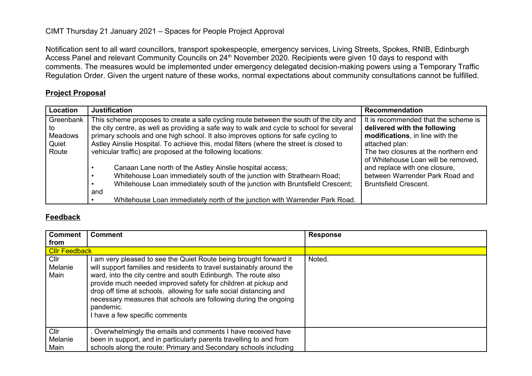Notification sent to all ward councillors, transport spokespeople, emergency services, Living Streets, Spokes, RNIB, Edinburgh Access Panel and relevant Community Councils on 24<sup>th</sup> November 2020. Recipients were given 10 days to respond with comments. The measures would be implemented under emergency delegated decision-making powers using a Temporary Traffic Regulation Order. Given the urgent nature of these works, normal expectations about community consultations cannot be fulfilled.

#### **Project Proposal**

| Location       | <b>Justification</b>                                                                     | <b>Recommendation</b>                |
|----------------|------------------------------------------------------------------------------------------|--------------------------------------|
| Greenbank      | This scheme proposes to create a safe cycling route between the south of the city and    | It is recommended that the scheme is |
| to             | the city centre, as well as providing a safe way to walk and cycle to school for several | delivered with the following         |
| <b>Meadows</b> | primary schools and one high school. It also improves options for safe cycling to        | modifications, in line with the      |
| Quiet          | Astley Ainslie Hospital. To achieve this, modal filters (where the street is closed to   | attached plan:                       |
| Route          | vehicular traffic) are proposed at the following locations:                              | The two closures at the northern end |
|                |                                                                                          | of Whitehouse Loan will be removed,  |
|                | Canaan Lane north of the Astley Ainslie hospital access;                                 | and replace with one closure,        |
|                | Whitehouse Loan immediately south of the junction with Strathearn Road;                  | between Warrender Park Road and      |
|                | Whitehouse Loan immediately south of the junction with Bruntsfield Crescent;             | <b>Bruntsfield Crescent.</b>         |
|                | and                                                                                      |                                      |
|                | Whitehouse Loan immediately north of the junction with Warrender Park Road.              |                                      |

#### **Feedback**

| <b>Comment</b>                     | <b>Comment</b>                                                                                                                                                                                                                                                                                                                                                                                                                                                        | <b>Response</b> |
|------------------------------------|-----------------------------------------------------------------------------------------------------------------------------------------------------------------------------------------------------------------------------------------------------------------------------------------------------------------------------------------------------------------------------------------------------------------------------------------------------------------------|-----------------|
| from                               |                                                                                                                                                                                                                                                                                                                                                                                                                                                                       |                 |
| <b>Cllr Feedback</b>               |                                                                                                                                                                                                                                                                                                                                                                                                                                                                       |                 |
| Cl <sub>l</sub><br>Melanie<br>Main | I am very pleased to see the Quiet Route being brought forward it<br>will support families and residents to travel sustainably around the<br>ward, into the city centre and south Edinburgh. The route also<br>provide much needed improved safety for children at pickup and<br>drop off time at schools, allowing for safe social distancing and<br>necessary measures that schools are following during the ongoing<br>pandemic.<br>I have a few specific comments | Noted.          |
| ClIr<br>Melanie<br>Main            | . Overwhelmingly the emails and comments I have received have<br>been in support, and in particularly parents travelling to and from<br>schools along the route: Primary and Secondary schools including                                                                                                                                                                                                                                                              |                 |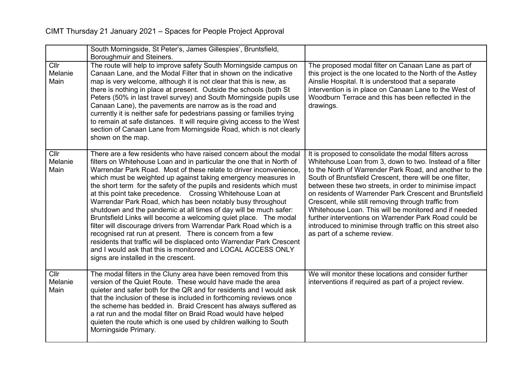|                         | South Morningside, St Peter's, James Gillespies', Bruntsfield,<br>Boroughmuir and Steiners.                                                                                                                                                                                                                                                                                                                                                                                                                                                                                                                                                                                                                                                                                                                                                                                                                                                           |                                                                                                                                                                                                                                                                                                                                                                                                                                                                                                                                                                                                                                      |
|-------------------------|-------------------------------------------------------------------------------------------------------------------------------------------------------------------------------------------------------------------------------------------------------------------------------------------------------------------------------------------------------------------------------------------------------------------------------------------------------------------------------------------------------------------------------------------------------------------------------------------------------------------------------------------------------------------------------------------------------------------------------------------------------------------------------------------------------------------------------------------------------------------------------------------------------------------------------------------------------|--------------------------------------------------------------------------------------------------------------------------------------------------------------------------------------------------------------------------------------------------------------------------------------------------------------------------------------------------------------------------------------------------------------------------------------------------------------------------------------------------------------------------------------------------------------------------------------------------------------------------------------|
| Cllr<br>Melanie<br>Main | The route will help to improve safety South Morningside campus on<br>Canaan Lane, and the Modal Filter that in shown on the indicative<br>map is very welcome, although it is not clear that this is new, as<br>there is nothing in place at present. Outside the schools (both St<br>Peters (50% in last travel survey) and South Morningside pupils use<br>Canaan Lane), the pavements are narrow as is the road and<br>currently it is neither safe for pedestrians passing or families trying<br>to remain at safe distances. It will require giving access to the West<br>section of Canaan Lane from Morningside Road, which is not clearly<br>shown on the map.                                                                                                                                                                                                                                                                                | The proposed modal filter on Canaan Lane as part of<br>this project is the one located to the North of the Astley<br>Ainslie Hospital. It is understood that a separate<br>intervention is in place on Canaan Lane to the West of<br>Woodburn Terrace and this has been reflected in the<br>drawings.                                                                                                                                                                                                                                                                                                                                |
| Cllr<br>Melanie<br>Main | There are a few residents who have raised concern about the modal<br>filters on Whitehouse Loan and in particular the one that in North of<br>Warrendar Park Road. Most of these relate to driver inconvenience.<br>which must be weighted up against taking emergency measures in<br>the short term for the safety of the pupils and residents which must<br>at this point take precedence. Crossing Whitehouse Loan at<br>Warrendar Park Road, which has been notably busy throughout<br>shutdown and the pandemic at all times of day will be much safer:<br>Bruntsfield Links will become a welcoming quiet place. The modal<br>filter will discourage drivers from Warrendar Park Road which is a<br>recognised rat run at present. There is concern from a few<br>residents that traffic will be displaced onto Warrendar Park Crescent<br>and I would ask that this is monitored and LOCAL ACCESS ONLY<br>signs are installed in the crescent. | It is proposed to consolidate the modal filters across<br>Whitehouse Loan from 3, down to two. Instead of a filter<br>to the North of Warrender Park Road, and another to the<br>South of Bruntsfield Crescent, there will be one filter,<br>between these two streets, in order to minimise impact<br>on residents of Warrender Park Crescent and Bruntsfield<br>Crescent, while still removing through traffic from<br>Whitehouse Loan. This will be monitored and if needed<br>further interventions on Warrender Park Road could be<br>introduced to minimise through traffic on this street also<br>as part of a scheme review. |
| ClIr<br>Melanie<br>Main | The modal filters in the Cluny area have been removed from this<br>version of the Quiet Route. These would have made the area<br>quieter and safer both for the QR and for residents and I would ask<br>that the inclusion of these is included in forthcoming reviews once<br>the scheme has bedded in. Braid Crescent has always suffered as<br>a rat run and the modal filter on Braid Road would have helped<br>quieten the route which is one used by children walking to South<br>Morningside Primary.                                                                                                                                                                                                                                                                                                                                                                                                                                          | We will monitor these locations and consider further<br>interventions if required as part of a project review.                                                                                                                                                                                                                                                                                                                                                                                                                                                                                                                       |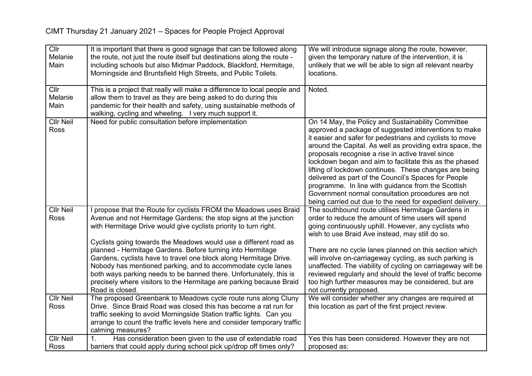| Cllr             | It is important that there is good signage that can be followed along                                                                | We will introduce signage along the route, however,         |
|------------------|--------------------------------------------------------------------------------------------------------------------------------------|-------------------------------------------------------------|
| Melanie          | the route, not just the route itself but destinations along the route -                                                              | given the temporary nature of the intervention, it is       |
| Main             | including schools but also Midmar Paddock, Blackford, Hermitage,                                                                     | unlikely that we will be able to sign all relevant nearby   |
|                  | Morningside and Bruntsfield High Streets, and Public Toilets.                                                                        | locations.                                                  |
|                  |                                                                                                                                      |                                                             |
| Cllr<br>Melanie  | This is a project that really will make a difference to local people and                                                             | Noted.                                                      |
| Main             | allow them to travel as they are being asked to do during this<br>pandemic for their health and safety, using sustainable methods of |                                                             |
|                  | walking, cycling and wheeling. I very much support it.                                                                               |                                                             |
| <b>Cllr Neil</b> | Need for public consultation before implementation                                                                                   | On 14 May, the Policy and Sustainability Committee          |
| Ross             |                                                                                                                                      | approved a package of suggested interventions to make       |
|                  |                                                                                                                                      | it easier and safer for pedestrians and cyclists to move    |
|                  |                                                                                                                                      | around the Capital. As well as providing extra space, the   |
|                  |                                                                                                                                      | proposals recognise a rise in active travel since           |
|                  |                                                                                                                                      | lockdown began and aim to facilitate this as the phased     |
|                  |                                                                                                                                      | lifting of lockdown continues. These changes are being      |
|                  |                                                                                                                                      | delivered as part of the Council's Spaces for People        |
|                  |                                                                                                                                      | programme. In line with guidance from the Scottish          |
|                  |                                                                                                                                      | Government normal consultation procedures are not           |
|                  |                                                                                                                                      | being carried out due to the need for expedient delivery.   |
| <b>Cllr Neil</b> | I propose that the Route for cyclists FROM the Meadows uses Braid                                                                    | The southbound route utilises Hermitage Gardens in          |
| Ross             | Avenue and not Hermitage Gardens; the stop signs at the junction                                                                     | order to reduce the amount of time users will spend         |
|                  | with Hermitage Drive would give cyclists priority to turn right.                                                                     | going continuously uphill. However, any cyclists who        |
|                  | Cyclists going towards the Meadows would use a different road as                                                                     | wish to use Braid Ave instead, may still do so.             |
|                  | planned - Hermitage Gardens. Before turning into Hermitage                                                                           | There are no cycle lanes planned on this section which      |
|                  | Gardens, cyclists have to travel one block along Hermitage Drive.                                                                    | will involve on-carriageway cycling, as such parking is     |
|                  | Nobody has mentioned parking, and to accommodate cycle lanes                                                                         | unaffected. The viability of cycling on carriageway will be |
|                  | both ways parking needs to be banned there. Unfortunately, this is                                                                   | reviewed regularly and should the level of traffic become   |
|                  | precisely where visitors to the Hermitage are parking because Braid                                                                  | too high further measures may be considered, but are        |
|                  | Road is closed.                                                                                                                      | not currently proposed.                                     |
| <b>Cllr Neil</b> | The proposed Greenbank to Meadows cycle route runs along Cluny                                                                       | We will consider whether any changes are required at        |
| Ross             | Drive. Since Braid Road was closed this has become a rat run for                                                                     | this location as part of the first project review.          |
|                  | traffic seeking to avoid Morningside Station traffic lights. Can you                                                                 |                                                             |
|                  | arrange to count the traffic levels here and consider temporary traffic                                                              |                                                             |
|                  | calming measures?                                                                                                                    |                                                             |
| <b>Cllr Neil</b> | Has consideration been given to the use of extendable road<br>1.                                                                     | Yes this has been considered. However they are not          |
| Ross             | barriers that could apply during school pick up/drop off times only?                                                                 | proposed as:                                                |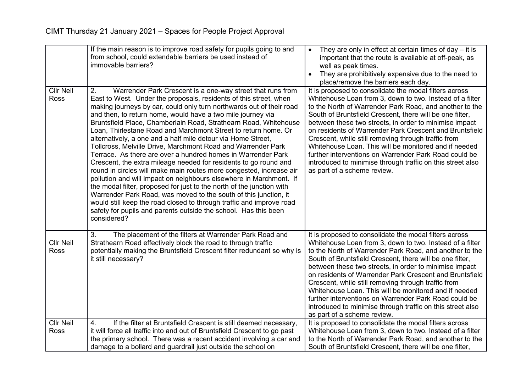| place/remove the barriers each day.<br>Cllr Neil<br>It is proposed to consolidate the modal filters across<br>2.<br>Warrender Park Crescent is a one-way street that runs from<br><b>Ross</b><br>East to West. Under the proposals, residents of this street, when<br>Whitehouse Loan from 3, down to two. Instead of a filter<br>making journeys by car, could only turn northwards out of their road<br>to the North of Warrender Park Road, and another to the                                                                                                                                                                                                                                                                                                                                                                                                                                                                                                                                                                                                                                                                                                                                                                                                                                                                                                                | They are prohibitively expensive due to the need to |
|----------------------------------------------------------------------------------------------------------------------------------------------------------------------------------------------------------------------------------------------------------------------------------------------------------------------------------------------------------------------------------------------------------------------------------------------------------------------------------------------------------------------------------------------------------------------------------------------------------------------------------------------------------------------------------------------------------------------------------------------------------------------------------------------------------------------------------------------------------------------------------------------------------------------------------------------------------------------------------------------------------------------------------------------------------------------------------------------------------------------------------------------------------------------------------------------------------------------------------------------------------------------------------------------------------------------------------------------------------------------------------|-----------------------------------------------------|
| and then, to return home, would have a two mile journey via<br>South of Bruntsfield Crescent, there will be one filter,<br>Bruntsfield Place, Chamberlain Road, Strathearn Road, Whitehouse<br>between these two streets, in order to minimise impact<br>Loan, Thirlestane Road and Marchmont Street to return home. Or<br>on residents of Warrender Park Crescent and Bruntsfield<br>alternatively, a one and a half mile detour via Home Street,<br>Crescent, while still removing through traffic from<br>Whitehouse Loan. This will be monitored and if needed<br>Tollcross, Melville Drive, Marchmont Road and Warrender Park<br>Terrace. As there are over a hundred homes in Warrender Park<br>further interventions on Warrender Park Road could be<br>Crescent, the extra mileage needed for residents to go round and<br>introduced to minimise through traffic on this street also<br>round in circles will make main routes more congested, increase air<br>as part of a scheme review.<br>pollution and will impact on neighbours elsewhere in Marchmont. If<br>the modal filter, proposed for just to the north of the junction with<br>Warrender Park Road, was moved to the south of this junction, it<br>would still keep the road closed to through traffic and improve road<br>safety for pupils and parents outside the school. Has this been<br>considered? |                                                     |
| The placement of the filters at Warrender Park Road and<br>It is proposed to consolidate the modal filters across<br>3.<br><b>Cllr Neil</b><br>Strathearn Road effectively block the road to through traffic<br>Whitehouse Loan from 3, down to two. Instead of a filter<br>Ross<br>potentially making the Bruntsfield Crescent filter redundant so why is<br>to the North of Warrender Park Road, and another to the<br>it still necessary?<br>South of Bruntsfield Crescent, there will be one filter,<br>between these two streets, in order to minimise impact<br>on residents of Warrender Park Crescent and Bruntsfield<br>Crescent, while still removing through traffic from<br>Whitehouse Loan. This will be monitored and if needed<br>further interventions on Warrender Park Road could be<br>introduced to minimise through traffic on this street also<br>as part of a scheme review.                                                                                                                                                                                                                                                                                                                                                                                                                                                                              |                                                     |
| <b>Cllr Neil</b><br>If the filter at Bruntsfield Crescent is still deemed necessary,<br>It is proposed to consolidate the modal filters across<br>4.<br>it will force all traffic into and out of Bruntsfield Crescent to go past<br><b>Ross</b><br>Whitehouse Loan from 3, down to two. Instead of a filter<br>the primary school. There was a recent accident involving a car and<br>to the North of Warrender Park Road, and another to the<br>damage to a bollard and guardrail just outside the school on<br>South of Bruntsfield Crescent, there will be one filter,                                                                                                                                                                                                                                                                                                                                                                                                                                                                                                                                                                                                                                                                                                                                                                                                       |                                                     |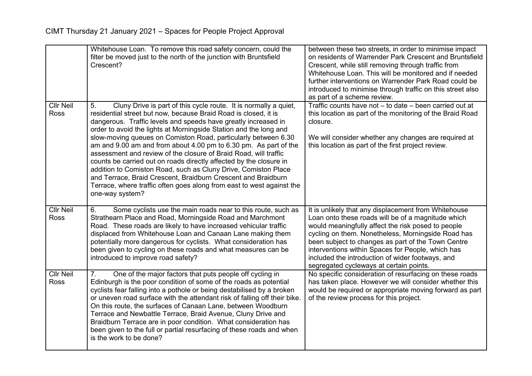|                                 | Whitehouse Loan. To remove this road safety concern, could the<br>filter be moved just to the north of the junction with Bruntsfield<br>Crescent?                                                                                                                                                                                                                                                                                                                                                                                                                                                                                                                                                                                                                                               | between these two streets, in order to minimise impact<br>on residents of Warrender Park Crescent and Bruntsfield<br>Crescent, while still removing through traffic from<br>Whitehouse Loan. This will be monitored and if needed<br>further interventions on Warrender Park Road could be<br>introduced to minimise through traffic on this street also<br>as part of a scheme review.                                          |
|---------------------------------|-------------------------------------------------------------------------------------------------------------------------------------------------------------------------------------------------------------------------------------------------------------------------------------------------------------------------------------------------------------------------------------------------------------------------------------------------------------------------------------------------------------------------------------------------------------------------------------------------------------------------------------------------------------------------------------------------------------------------------------------------------------------------------------------------|----------------------------------------------------------------------------------------------------------------------------------------------------------------------------------------------------------------------------------------------------------------------------------------------------------------------------------------------------------------------------------------------------------------------------------|
| <b>Cllr Neil</b><br>Ross        | Cluny Drive is part of this cycle route. It is normally a quiet,<br>5.<br>residential street but now, because Braid Road is closed, it is<br>dangerous. Traffic levels and speeds have greatly increased in<br>order to avoid the lights at Morningside Station and the long and<br>slow-moving queues on Comiston Road, particularly between 6.30<br>am and 9.00 am and from about 4.00 pm to 6.30 pm. As part of the<br>assessment and review of the closure of Braid Road, will traffic<br>counts be carried out on roads directly affected by the closure in<br>addition to Comiston Road, such as Cluny Drive, Comiston Place<br>and Terrace, Braid Crescent, Braidburn Crescent and Braidburn<br>Terrace, where traffic often goes along from east to west against the<br>one-way system? | Traffic counts have not - to date - been carried out at<br>this location as part of the monitoring of the Braid Road<br>closure.<br>We will consider whether any changes are required at<br>this location as part of the first project review.                                                                                                                                                                                   |
| <b>Cllr Neil</b><br><b>Ross</b> | Some cyclists use the main roads near to this route, such as<br>6.<br>Strathearn Place and Road, Morningside Road and Marchmont<br>Road. These roads are likely to have increased vehicular traffic<br>displaced from Whitehouse Loan and Canaan Lane making them<br>potentially more dangerous for cyclists. What consideration has<br>been given to cycling on these roads and what measures can be<br>introduced to improve road safety?                                                                                                                                                                                                                                                                                                                                                     | It is unlikely that any displacement from Whitehouse<br>Loan onto these roads will be of a magnitude which<br>would meaningfully affect the risk posed to people<br>cycling on them. Nonetheless, Morningside Road has<br>been subject to changes as part of the Town Centre<br>interventions within Spaces for People, which has<br>included the introduction of wider footways, and<br>segregated cycleways at certain points. |
| <b>Cllr Neil</b><br><b>Ross</b> | One of the major factors that puts people off cycling in<br>7.<br>Edinburgh is the poor condition of some of the roads as potential<br>cyclists fear falling into a pothole or being destabilised by a broken<br>or uneven road surface with the attendant risk of falling off their bike.<br>On this route, the surfaces of Canaan Lane, between Woodburn<br>Terrace and Newbattle Terrace, Braid Avenue, Cluny Drive and<br>Braidburn Terrace are in poor condition. What consideration has<br>been given to the full or partial resurfacing of these roads and when<br>is the work to be done?                                                                                                                                                                                               | No specific consideration of resurfacing on these roads<br>has taken place. However we will consider whether this<br>would be required or appropriate moving forward as part<br>of the review process for this project.                                                                                                                                                                                                          |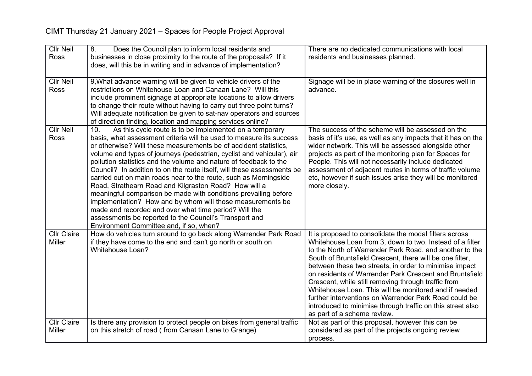| <b>Cllr Neil</b>   | 8.<br>Does the Council plan to inform local residents and                                                                                    | There are no dedicated communications with local                                                                    |
|--------------------|----------------------------------------------------------------------------------------------------------------------------------------------|---------------------------------------------------------------------------------------------------------------------|
| Ross               | businesses in close proximity to the route of the proposals? If it                                                                           | residents and businesses planned.                                                                                   |
|                    | does, will this be in writing and in advance of implementation?                                                                              |                                                                                                                     |
|                    |                                                                                                                                              |                                                                                                                     |
| <b>Cllr Neil</b>   | 9, What advance warning will be given to vehicle drivers of the                                                                              | Signage will be in place warning of the closures well in                                                            |
| Ross               | restrictions on Whitehouse Loan and Canaan Lane? Will this                                                                                   | advance.                                                                                                            |
|                    | include prominent signage at appropriate locations to allow drivers                                                                          |                                                                                                                     |
|                    | to change their route without having to carry out three point turns?<br>Will adequate notification be given to sat-nav operators and sources |                                                                                                                     |
|                    | of direction finding, location and mapping services online?                                                                                  |                                                                                                                     |
| <b>Cllr Neil</b>   | As this cycle route is to be implemented on a temporary<br>10.                                                                               | The success of the scheme will be assessed on the                                                                   |
| <b>Ross</b>        | basis, what assessment criteria will be used to measure its success                                                                          | basis of it's use, as well as any impacts that it has on the                                                        |
|                    | or otherwise? Will these measurements be of accident statistics,                                                                             | wider network. This will be assessed alongside other                                                                |
|                    | volume and types of journeys (pedestrian, cyclist and vehicular), air                                                                        | projects as part of the monitoring plan for Spaces for                                                              |
|                    | pollution statistics and the volume and nature of feedback to the                                                                            | People. This will not necessarily include dedicated                                                                 |
|                    | Council? In addition to on the route itself, will these assessments be                                                                       | assessment of adjacent routes in terms of traffic volume                                                            |
|                    | carried out on main roads near to the route, such as Morningside                                                                             | etc, however if such issues arise they will be monitored                                                            |
|                    | Road, Strathearn Road and Kilgraston Road? How will a                                                                                        | more closely.                                                                                                       |
|                    | meaningful comparison be made with conditions prevailing before                                                                              |                                                                                                                     |
|                    | implementation? How and by whom will those measurements be                                                                                   |                                                                                                                     |
|                    | made and recorded and over what time period? Will the                                                                                        |                                                                                                                     |
|                    | assessments be reported to the Council's Transport and                                                                                       |                                                                                                                     |
|                    | Environment Committee and, if so, when?                                                                                                      |                                                                                                                     |
| <b>Cllr Claire</b> | How do vehicles turn around to go back along Warrender Park Road                                                                             | It is proposed to consolidate the modal filters across                                                              |
| <b>Miller</b>      | if they have come to the end and can't go north or south on<br><b>Whitehouse Loan?</b>                                                       | Whitehouse Loan from 3, down to two. Instead of a filter<br>to the North of Warrender Park Road, and another to the |
|                    |                                                                                                                                              | South of Bruntsfield Crescent, there will be one filter,                                                            |
|                    |                                                                                                                                              | between these two streets, in order to minimise impact                                                              |
|                    |                                                                                                                                              | on residents of Warrender Park Crescent and Bruntsfield                                                             |
|                    |                                                                                                                                              | Crescent, while still removing through traffic from                                                                 |
|                    |                                                                                                                                              | Whitehouse Loan. This will be monitored and if needed                                                               |
|                    |                                                                                                                                              | further interventions on Warrender Park Road could be                                                               |
|                    |                                                                                                                                              | introduced to minimise through traffic on this street also                                                          |
|                    |                                                                                                                                              | as part of a scheme review.                                                                                         |
| <b>Cllr Claire</b> | Is there any provision to protect people on bikes from general traffic                                                                       | Not as part of this proposal, however this can be                                                                   |
| <b>Miller</b>      | on this stretch of road (from Canaan Lane to Grange)                                                                                         | considered as part of the projects ongoing review                                                                   |
|                    |                                                                                                                                              | process.                                                                                                            |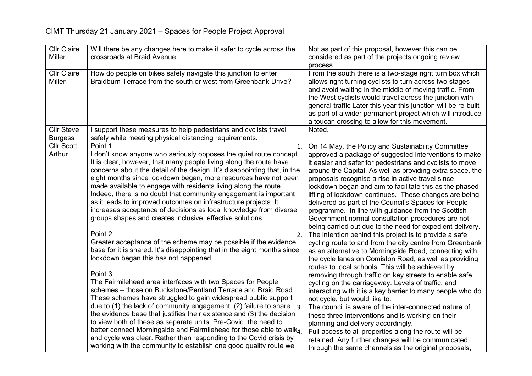| <b>Cllr Claire</b> | Will there be any changes here to make it safer to cycle across the                   | Not as part of this proposal, however this can be              |
|--------------------|---------------------------------------------------------------------------------------|----------------------------------------------------------------|
| <b>Miller</b>      | crossroads at Braid Avenue                                                            | considered as part of the projects ongoing review              |
|                    |                                                                                       | process.                                                       |
| <b>Cllr Claire</b> | How do people on bikes safely navigate this junction to enter                         | From the south there is a two-stage right turn box which       |
| Miller             | Braidburn Terrace from the south or west from Greenbank Drive?                        | allows right turning cyclists to turn across two stages        |
|                    |                                                                                       | and avoid waiting in the middle of moving traffic. From        |
|                    |                                                                                       | the West cyclists would travel across the junction with        |
|                    |                                                                                       | general traffic Later this year this junction will be re-built |
|                    |                                                                                       | as part of a wider permanent project which will introduce      |
|                    |                                                                                       | a toucan crossing to allow for this movement.                  |
| <b>Cllr Steve</b>  | I support these measures to help pedestrians and cyclists travel                      | Noted.                                                         |
| <b>Burgess</b>     | safely while meeting physical distancing requirements.                                |                                                                |
| <b>Cllr Scott</b>  | Point 1<br>1.                                                                         | On 14 May, the Policy and Sustainability Committee             |
| Arthur             | I don't know anyone who seriously opposes the quiet route concept.                    | approved a package of suggested interventions to make          |
|                    | It is clear, however, that many people living along the route have                    | it easier and safer for pedestrians and cyclists to move       |
|                    | concerns about the detail of the design. It's disappointing that, in the              | around the Capital. As well as providing extra space, the      |
|                    | eight months since lockdown began, more resources have not been                       | proposals recognise a rise in active travel since              |
|                    | made available to engage with residents living along the route.                       | lockdown began and aim to facilitate this as the phased        |
|                    | Indeed, there is no doubt that community engagement is important                      | lifting of lockdown continues. These changes are being         |
|                    | as it leads to improved outcomes on infrastructure projects. It                       | delivered as part of the Council's Spaces for People           |
|                    | increases acceptance of decisions as local knowledge from diverse                     | programme. In line with guidance from the Scottish             |
|                    | groups shapes and creates inclusive, effective solutions.                             | Government normal consultation procedures are not              |
|                    |                                                                                       | being carried out due to the need for expedient delivery.      |
|                    | Point 2<br>2.                                                                         | The intention behind this project is to provide a safe         |
|                    | Greater acceptance of the scheme may be possible if the evidence                      | cycling route to and from the city centre from Greenbank       |
|                    | base for it is shared. It's disappointing that in the eight months since              | as an alternative to Morningside Road, connecting with         |
|                    | lockdown began this has not happened.                                                 | the cycle lanes on Comiston Road, as well as providing         |
|                    |                                                                                       | routes to local schools. This will be achieved by              |
|                    | Point 3                                                                               | removing through traffic on key streets to enable safe         |
|                    | The Fairmilehead area interfaces with two Spaces for People                           | cycling on the carriageway. Levels of traffic, and             |
|                    | schemes - those on Buckstone/Pentland Terrace and Braid Road.                         | interacting with it is a key barrier to many people who do     |
|                    | These schemes have struggled to gain widespread public support                        | not cycle, but would like to.                                  |
|                    | due to (1) the lack of community engagement, (2) failure to share<br>$\overline{3}$ . | The council is aware of the inter-connected nature of          |
|                    | the evidence base that justifies their existence and (3) the decision                 | these three interventions and is working on their              |
|                    | to view both of these as separate units. Pre-Covid, the need to                       | planning and delivery accordingly.                             |
|                    | better connect Morningside and Fairmilehead for those able to walk4                   | Full access to all properties along the route will be          |
|                    | and cycle was clear. Rather than responding to the Covid crisis by                    | retained. Any further changes will be communicated             |
|                    | working with the community to establish one good quality route we                     | through the same channels as the original proposals,           |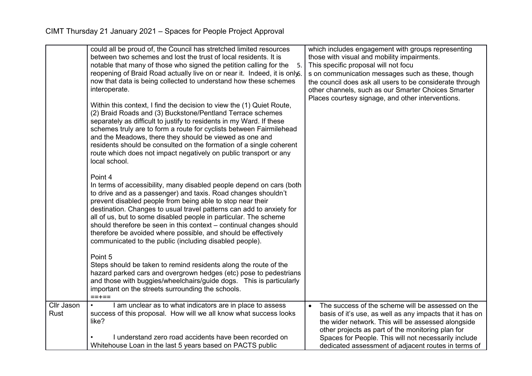|                    | could all be proud of, the Council has stretched limited resources<br>between two schemes and lost the trust of local residents. It is<br>notable that many of those who signed the petition calling for the<br>.5<br>reopening of Braid Road actually live on or near it. Indeed, it is onlyo.<br>now that data is being collected to understand how these schemes<br>interoperate.<br>Within this context, I find the decision to view the (1) Quiet Route,<br>(2) Braid Roads and (3) Buckstone/Pentland Terrace schemes<br>separately as difficult to justify to residents in my Ward. If these<br>schemes truly are to form a route for cyclists between Fairmilehead<br>and the Meadows, there they should be viewed as one and<br>residents should be consulted on the formation of a single coherent<br>route which does not impact negatively on public transport or any<br>local school.<br>Point 4<br>In terms of accessibility, many disabled people depend on cars (both<br>to drive and as a passenger) and taxis. Road changes shouldn't<br>prevent disabled people from being able to stop near their<br>destination. Changes to usual travel patterns can add to anxiety for<br>all of us, but to some disabled people in particular. The scheme<br>should therefore be seen in this context - continual changes should<br>therefore be avoided where possible, and should be effectively<br>communicated to the public (including disabled people).<br>Point 5<br>Steps should be taken to remind residents along the route of the<br>hazard parked cars and overgrown hedges (etc) pose to pedestrians<br>and those with buggies/wheelchairs/guide dogs. This is particularly | which includes engagement with groups representing<br>those with visual and mobility impairments.<br>This specific proposal will not focu<br>s on communication messages such as these, though<br>the council does ask all users to be considerate through<br>other channels, such as our Smarter Choices Smarter<br>Places courtesy signage, and other interventions. |
|--------------------|--------------------------------------------------------------------------------------------------------------------------------------------------------------------------------------------------------------------------------------------------------------------------------------------------------------------------------------------------------------------------------------------------------------------------------------------------------------------------------------------------------------------------------------------------------------------------------------------------------------------------------------------------------------------------------------------------------------------------------------------------------------------------------------------------------------------------------------------------------------------------------------------------------------------------------------------------------------------------------------------------------------------------------------------------------------------------------------------------------------------------------------------------------------------------------------------------------------------------------------------------------------------------------------------------------------------------------------------------------------------------------------------------------------------------------------------------------------------------------------------------------------------------------------------------------------------------------------------------------------------------------------------------------------------------------------------------|------------------------------------------------------------------------------------------------------------------------------------------------------------------------------------------------------------------------------------------------------------------------------------------------------------------------------------------------------------------------|
|                    | important on the streets surrounding the schools.<br>$==+==$                                                                                                                                                                                                                                                                                                                                                                                                                                                                                                                                                                                                                                                                                                                                                                                                                                                                                                                                                                                                                                                                                                                                                                                                                                                                                                                                                                                                                                                                                                                                                                                                                                     |                                                                                                                                                                                                                                                                                                                                                                        |
| Cllr Jason<br>Rust | I am unclear as to what indicators are in place to assess<br>success of this proposal. How will we all know what success looks<br>like?<br>I understand zero road accidents have been recorded on                                                                                                                                                                                                                                                                                                                                                                                                                                                                                                                                                                                                                                                                                                                                                                                                                                                                                                                                                                                                                                                                                                                                                                                                                                                                                                                                                                                                                                                                                                | The success of the scheme will be assessed on the<br>$\bullet$<br>basis of it's use, as well as any impacts that it has on<br>the wider network. This will be assessed alongside<br>other projects as part of the monitoring plan for<br>Spaces for People. This will not necessarily include                                                                          |
|                    | Whitehouse Loan in the last 5 years based on PACTS public                                                                                                                                                                                                                                                                                                                                                                                                                                                                                                                                                                                                                                                                                                                                                                                                                                                                                                                                                                                                                                                                                                                                                                                                                                                                                                                                                                                                                                                                                                                                                                                                                                        | dedicated assessment of adjacent routes in terms of                                                                                                                                                                                                                                                                                                                    |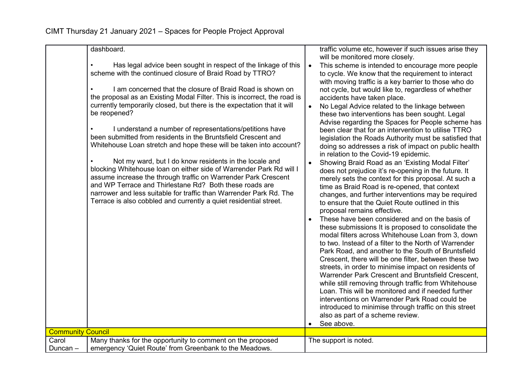|                          | dashboard.<br>Has legal advice been sought in respect of the linkage of this<br>scheme with the continued closure of Braid Road by TTRO?<br>I am concerned that the closure of Braid Road is shown on<br>the proposal as an Existing Modal Filter. This is incorrect, the road is<br>currently temporarily closed, but there is the expectation that it will<br>be reopened?<br>I understand a number of representations/petitions have<br>been submitted from residents in the Bruntsfield Crescent and<br>Whitehouse Loan stretch and hope these will be taken into account?<br>Not my ward, but I do know residents in the locale and<br>blocking Whitehouse loan on either side of Warrender Park Rd will I<br>assume increase the through traffic on Warrender Park Crescent<br>and WP Terrace and Thirlestane Rd? Both these roads are<br>narrower and less suitable for traffic than Warrender Park Rd. The<br>Terrace is also cobbled and currently a quiet residential street. | $\bullet$<br>$\bullet$<br>$\bullet$<br>$\bullet$ | traffic volume etc, however if such issues arise they<br>will be monitored more closely.<br>This scheme is intended to encourage more people<br>to cycle. We know that the requirement to interact<br>with moving traffic is a key barrier to those who do<br>not cycle, but would like to, regardless of whether<br>accidents have taken place.<br>No Legal Advice related to the linkage between<br>these two interventions has been sought. Legal<br>Advise regarding the Spaces for People scheme has<br>been clear that for an intervention to utilise TTRO<br>legislation the Roads Authority must be satisfied that<br>doing so addresses a risk of impact on public health<br>in relation to the Covid-19 epidemic.<br>Showing Braid Road as an 'Existing Modal Filter'<br>does not prejudice it's re-opening in the future. It<br>merely sets the context for this proposal. At such a<br>time as Braid Road is re-opened, that context<br>changes, and further interventions may be required<br>to ensure that the Quiet Route outlined in this<br>proposal remains effective.<br>These have been considered and on the basis of<br>these submissions It is proposed to consolidate the<br>modal filters across Whitehouse Loan from 3, down<br>to two. Instead of a filter to the North of Warrender<br>Park Road, and another to the South of Bruntsfield<br>Crescent, there will be one filter, between these two<br>streets, in order to minimise impact on residents of |
|--------------------------|-----------------------------------------------------------------------------------------------------------------------------------------------------------------------------------------------------------------------------------------------------------------------------------------------------------------------------------------------------------------------------------------------------------------------------------------------------------------------------------------------------------------------------------------------------------------------------------------------------------------------------------------------------------------------------------------------------------------------------------------------------------------------------------------------------------------------------------------------------------------------------------------------------------------------------------------------------------------------------------------|--------------------------------------------------|----------------------------------------------------------------------------------------------------------------------------------------------------------------------------------------------------------------------------------------------------------------------------------------------------------------------------------------------------------------------------------------------------------------------------------------------------------------------------------------------------------------------------------------------------------------------------------------------------------------------------------------------------------------------------------------------------------------------------------------------------------------------------------------------------------------------------------------------------------------------------------------------------------------------------------------------------------------------------------------------------------------------------------------------------------------------------------------------------------------------------------------------------------------------------------------------------------------------------------------------------------------------------------------------------------------------------------------------------------------------------------------------------------------------------------------------------------------------------------------|
|                          |                                                                                                                                                                                                                                                                                                                                                                                                                                                                                                                                                                                                                                                                                                                                                                                                                                                                                                                                                                                         |                                                  | Warrender Park Crescent and Bruntsfield Crescent,<br>while still removing through traffic from Whitehouse<br>Loan. This will be monitored and if needed further<br>interventions on Warrender Park Road could be<br>introduced to minimise through traffic on this street<br>also as part of a scheme review.<br>See above.                                                                                                                                                                                                                                                                                                                                                                                                                                                                                                                                                                                                                                                                                                                                                                                                                                                                                                                                                                                                                                                                                                                                                            |
| <b>Community Council</b> |                                                                                                                                                                                                                                                                                                                                                                                                                                                                                                                                                                                                                                                                                                                                                                                                                                                                                                                                                                                         |                                                  |                                                                                                                                                                                                                                                                                                                                                                                                                                                                                                                                                                                                                                                                                                                                                                                                                                                                                                                                                                                                                                                                                                                                                                                                                                                                                                                                                                                                                                                                                        |
| Carol<br>Duncan –        | Many thanks for the opportunity to comment on the proposed<br>emergency 'Quiet Route' from Greenbank to the Meadows.                                                                                                                                                                                                                                                                                                                                                                                                                                                                                                                                                                                                                                                                                                                                                                                                                                                                    |                                                  | The support is noted.                                                                                                                                                                                                                                                                                                                                                                                                                                                                                                                                                                                                                                                                                                                                                                                                                                                                                                                                                                                                                                                                                                                                                                                                                                                                                                                                                                                                                                                                  |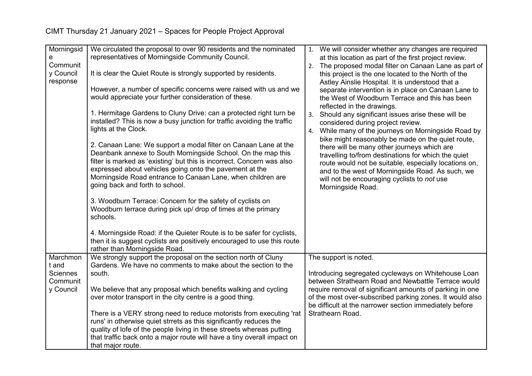| Morningsid | We circulated the proposal to over 90 residents and the nominated                                                                         |    | 1. We will consider whether any changes are required                        |
|------------|-------------------------------------------------------------------------------------------------------------------------------------------|----|-----------------------------------------------------------------------------|
| е          | representatives of Morningside Community Council.                                                                                         |    | at this location as part of the first project review.                       |
| Communit   |                                                                                                                                           | 2. | The proposed modal filter on Canaan Lane as part of                         |
| y Council  | It is clear the Quiet Route is strongly supported by residents.                                                                           |    | this project is the one located to the North of the                         |
| response   |                                                                                                                                           |    | Astley Ainslie Hospital. It is understood that a                            |
|            | However, a number of specific concerns were raised with us and we                                                                         |    | separate intervention is in place on Canaan Lane to                         |
|            | would appreciate your further consideration of these.                                                                                     |    | the West of Woodburn Terrace and this has been                              |
|            |                                                                                                                                           |    | reflected in the drawings.                                                  |
|            | 1. Hermitage Gardens to Cluny Drive: can a protected right turn be                                                                        | 3. | Should any significant issues arise these will be                           |
|            | installed? This is now a busy junction for traffic avoiding the traffic                                                                   |    | considered during project review.                                           |
|            | lights at the Clock.                                                                                                                      | 4. | While many of the journeys on Morningside Road by                           |
|            |                                                                                                                                           |    | bike might reasonably be made on the quiet route,                           |
|            | 2. Canaan Lane: We support a modal filter on Canaan Lane at the                                                                           |    | there will be many other journeys which are                                 |
|            | Deanbank annexe to South Morningside School. On the map this                                                                              |    | travelling to/from destinations for which the quiet                         |
|            | filter is marked as 'existing' but this is incorrect. Concern was also                                                                    |    | route would not be suitable, especially locations on,                       |
|            | expressed about vehicles going onto the pavement at the                                                                                   |    | and to the west of Morningside Road. As such, we                            |
|            | Morningside Road entrance to Canaan Lane, when children are<br>going back and forth to school.                                            |    | will not be encouraging cyclists to not use                                 |
|            |                                                                                                                                           |    | Morningside Road.                                                           |
|            | 3. Woodburn Terrace: Concern for the safety of cyclists on                                                                                |    |                                                                             |
|            | Woodburn terrace during pick up/ drop of times at the primary                                                                             |    |                                                                             |
|            | schools.                                                                                                                                  |    |                                                                             |
|            |                                                                                                                                           |    |                                                                             |
|            | 4. Morningside Road: if the Quieter Route is to be safer for cyclists,                                                                    |    |                                                                             |
|            | then it is suggest cyclists are positively encouraged to use this route                                                                   |    |                                                                             |
|            | rather than Morningside Road.                                                                                                             |    |                                                                             |
| Marchmon   | We strongly support the proposal on the section north of Cluny                                                                            |    | The support is noted.                                                       |
| t and      | Gardens. We have no comments to make about the section to the                                                                             |    |                                                                             |
| Sciennes   | south.                                                                                                                                    |    | Introducing segregated cycleways on Whitehouse Loan                         |
| Communit   |                                                                                                                                           |    | between Strathearn Road and Newbattle Terrace would                         |
| y Council  | We believe that any proposal which benefits walking and cycling                                                                           |    | require removal of significant amounts of parking in one                    |
|            | over motor transport in the city centre is a good thing.                                                                                  |    | of the most over-subscribed parking zones. It would also                    |
|            |                                                                                                                                           |    | be difficult at the narrower section immediately before<br>Strathearn Road. |
|            | There is a VERY strong need to reduce motorists from executing 'rat<br>runs' in otherwise quiet strrets as this significantly reduces the |    |                                                                             |
|            | quality of lofe of the people living in these streets whereas putting                                                                     |    |                                                                             |
|            | that traffic back onto a major route will have a tiny overall impact on                                                                   |    |                                                                             |
|            | that major route.                                                                                                                         |    |                                                                             |
|            |                                                                                                                                           |    |                                                                             |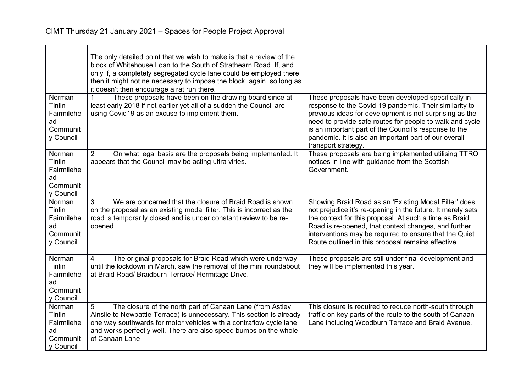|                                                               | The only detailed point that we wish to make is that a review of the<br>block of Whitehouse Loan to the South of Strathearn Road. If, and<br>only if, a completely segregated cycle lane could be employed there<br>then it might not ne necessary to impose the block, again, so long as<br>it doesn't then encourage a rat run there. |                                                                                                                                                                                                                                                                                                                                                                               |
|---------------------------------------------------------------|-----------------------------------------------------------------------------------------------------------------------------------------------------------------------------------------------------------------------------------------------------------------------------------------------------------------------------------------|-------------------------------------------------------------------------------------------------------------------------------------------------------------------------------------------------------------------------------------------------------------------------------------------------------------------------------------------------------------------------------|
| Norman<br>Tinlin<br>Fairmilehe<br>ad<br>Communit<br>y Council | These proposals have been on the drawing board since at<br>least early 2018 if not earlier yet all of a sudden the Council are<br>using Covid19 as an excuse to implement them.                                                                                                                                                         | These proposals have been developed specifically in<br>response to the Covid-19 pandemic. Their similarity to<br>previous ideas for development is not surprising as the<br>need to provide safe routes for people to walk and cycle<br>is an important part of the Council's response to the<br>pandemic. It is also an important part of our overall<br>transport strategy. |
| Norman<br>Tinlin<br>Fairmilehe<br>ad<br>Communit<br>y Council | $\overline{2}$<br>On what legal basis are the proposals being implemented. It<br>appears that the Council may be acting ultra viries.                                                                                                                                                                                                   | These proposals are being implemented utilising TTRO<br>notices in line with guidance from the Scottish<br>Government.                                                                                                                                                                                                                                                        |
| Norman<br>Tinlin<br>Fairmilehe<br>ad<br>Communit<br>y Council | 3<br>We are concerned that the closure of Braid Road is shown<br>on the proposal as an existing modal filter. This is incorrect as the<br>road is temporarily closed and is under constant review to be re-<br>opened.                                                                                                                  | Showing Braid Road as an 'Existing Modal Filter' does<br>not prejudice it's re-opening in the future. It merely sets<br>the context for this proposal. At such a time as Braid<br>Road is re-opened, that context changes, and further<br>interventions may be required to ensure that the Quiet<br>Route outlined in this proposal remains effective.                        |
| Norman<br>Tinlin<br>Fairmilehe<br>ad<br>Communit<br>y Council | The original proposals for Braid Road which were underway<br>4<br>until the lockdown in March, saw the removal of the mini roundabout<br>at Braid Road/ Braidburn Terrace/ Hermitage Drive.                                                                                                                                             | These proposals are still under final development and<br>they will be implemented this year.                                                                                                                                                                                                                                                                                  |
| Norman<br>Tinlin<br>Fairmilehe<br>ad<br>Communit<br>y Council | The closure of the north part of Canaan Lane (from Astley<br>5<br>Ainslie to Newbattle Terrace) is unnecessary. This section is already<br>one way southwards for motor vehicles with a contraflow cycle lane<br>and works perfectly well. There are also speed bumps on the whole<br>of Canaan Lane                                    | This closure is required to reduce north-south through<br>traffic on key parts of the route to the south of Canaan<br>Lane including Woodburn Terrace and Braid Avenue.                                                                                                                                                                                                       |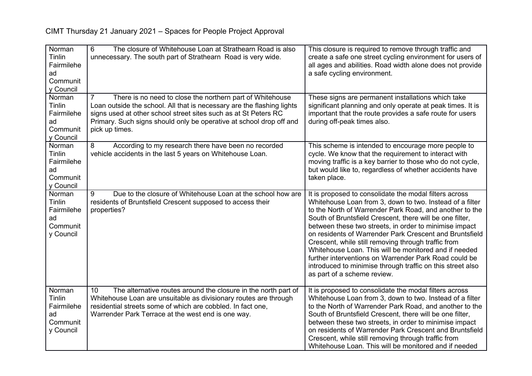| Norman<br>Tinlin<br>Fairmilehe<br>ad<br>Communit<br>y Council        | 6<br>The closure of Whitehouse Loan at Strathearn Road is also<br>unnecessary. The south part of Strathearn Road is very wide.                                                                                                                                                                  | This closure is required to remove through traffic and<br>create a safe one street cycling environment for users of<br>all ages and abilities. Road width alone does not provide<br>a safe cycling environment.                                                                                                                                                                                                                                                                                                                                                                                                                      |
|----------------------------------------------------------------------|-------------------------------------------------------------------------------------------------------------------------------------------------------------------------------------------------------------------------------------------------------------------------------------------------|--------------------------------------------------------------------------------------------------------------------------------------------------------------------------------------------------------------------------------------------------------------------------------------------------------------------------------------------------------------------------------------------------------------------------------------------------------------------------------------------------------------------------------------------------------------------------------------------------------------------------------------|
| Norman<br>Tinlin<br>Fairmilehe<br>ad<br>Communit<br>y Council        | There is no need to close the northern part of Whitehouse<br>Loan outside the school. All that is necessary are the flashing lights<br>signs used at other school street sites such as at St Peters RC<br>Primary. Such signs should only be operative at school drop off and<br>pick up times. | These signs are permanent installations which take<br>significant planning and only operate at peak times. It is<br>important that the route provides a safe route for users<br>during off-peak times also.                                                                                                                                                                                                                                                                                                                                                                                                                          |
| Norman<br><b>Tinlin</b><br>Fairmilehe<br>ad<br>Communit<br>y Council | 8<br>According to my research there have been no recorded<br>vehicle accidents in the last 5 years on Whitehouse Loan.                                                                                                                                                                          | This scheme is intended to encourage more people to<br>cycle. We know that the requirement to interact with<br>moving traffic is a key barrier to those who do not cycle,<br>but would like to, regardless of whether accidents have<br>taken place.                                                                                                                                                                                                                                                                                                                                                                                 |
| Norman<br>Tinlin<br>Fairmilehe<br>ad<br>Communit<br>y Council        | Due to the closure of Whitehouse Loan at the school how are<br>9<br>residents of Bruntsfield Crescent supposed to access their<br>properties?                                                                                                                                                   | It is proposed to consolidate the modal filters across<br>Whitehouse Loan from 3, down to two. Instead of a filter<br>to the North of Warrender Park Road, and another to the<br>South of Bruntsfield Crescent, there will be one filter,<br>between these two streets, in order to minimise impact<br>on residents of Warrender Park Crescent and Bruntsfield<br>Crescent, while still removing through traffic from<br>Whitehouse Loan. This will be monitored and if needed<br>further interventions on Warrender Park Road could be<br>introduced to minimise through traffic on this street also<br>as part of a scheme review. |
| Norman<br>Tinlin<br>Fairmilehe<br>ad<br>Communit<br>y Council        | The alternative routes around the closure in the north part of<br>10<br>Whitehouse Loan are unsuitable as divisionary routes are through<br>residential streets some of which are cobbled. In fact one,<br>Warrender Park Terrace at the west end is one way.                                   | It is proposed to consolidate the modal filters across<br>Whitehouse Loan from 3, down to two. Instead of a filter<br>to the North of Warrender Park Road, and another to the<br>South of Bruntsfield Crescent, there will be one filter,<br>between these two streets, in order to minimise impact<br>on residents of Warrender Park Crescent and Bruntsfield<br>Crescent, while still removing through traffic from<br>Whitehouse Loan. This will be monitored and if needed                                                                                                                                                       |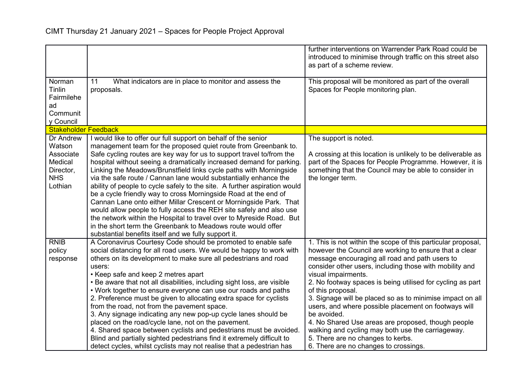|                             |                                                                                                                                           | further interventions on Warrender Park Road could be<br>introduced to minimise through traffic on this street also<br>as part of a scheme review. |
|-----------------------------|-------------------------------------------------------------------------------------------------------------------------------------------|----------------------------------------------------------------------------------------------------------------------------------------------------|
|                             |                                                                                                                                           |                                                                                                                                                    |
| Norman                      | 11<br>What indicators are in place to monitor and assess the                                                                              | This proposal will be monitored as part of the overall                                                                                             |
| Tinlin                      | proposals.                                                                                                                                | Spaces for People monitoring plan.                                                                                                                 |
| Fairmilehe<br>ad            |                                                                                                                                           |                                                                                                                                                    |
| Communit                    |                                                                                                                                           |                                                                                                                                                    |
| y Council                   |                                                                                                                                           |                                                                                                                                                    |
| <b>Stakeholder Feedback</b> |                                                                                                                                           |                                                                                                                                                    |
| Dr Andrew                   | I would like to offer our full support on behalf of the senior                                                                            | The support is noted.                                                                                                                              |
| Watson                      | management team for the proposed quiet route from Greenbank to.                                                                           |                                                                                                                                                    |
| Associate                   | Safe cycling routes are key way for us to support travel to/from the                                                                      | A crossing at this location is unlikely to be deliverable as                                                                                       |
| Medical<br>Director,        | hospital without seeing a dramatically increased demand for parking<br>Linking the Meadows/Brunstfield links cycle paths with Morningside | part of the Spaces for People Programme. However, it is<br>something that the Council may be able to consider in                                   |
| <b>NHS</b>                  | via the safe route / Cannan lane would substantially enhance the                                                                          | the longer term.                                                                                                                                   |
| Lothian                     | ability of people to cycle safely to the site. A further aspiration would                                                                 |                                                                                                                                                    |
|                             | be a cycle friendly way to cross Morningside Road at the end of                                                                           |                                                                                                                                                    |
|                             | Cannan Lane onto either Millar Crescent or Morningside Park. That                                                                         |                                                                                                                                                    |
|                             | would allow people to fully access the REH site safely and also use                                                                       |                                                                                                                                                    |
|                             | the network within the Hospital to travel over to Myreside Road. But                                                                      |                                                                                                                                                    |
|                             | in the short term the Greenbank to Meadows route would offer                                                                              |                                                                                                                                                    |
|                             | substantial benefits itself and we fully support it.                                                                                      |                                                                                                                                                    |
| <b>RNIB</b>                 | A Coronavirus Courtesy Code should be promoted to enable safe                                                                             | 1. This is not within the scope of this particular proposal,                                                                                       |
| policy                      | social distancing for all road users. We would be happy to work with                                                                      | however the Council are working to ensure that a clear                                                                                             |
| response                    | others on its development to make sure all pedestrians and road                                                                           | message encouraging all road and path users to<br>consider other users, including those with mobility and                                          |
|                             | users:<br>• Keep safe and keep 2 metres apart                                                                                             | visual impairments.                                                                                                                                |
|                             | • Be aware that not all disabilities, including sight loss, are visible                                                                   | 2. No footway spaces is being utilised for cycling as part                                                                                         |
|                             | • Work together to ensure everyone can use our roads and paths                                                                            | of this proposal.                                                                                                                                  |
|                             | 2. Preference must be given to allocating extra space for cyclists                                                                        | 3. Signage will be placed so as to minimise impact on all                                                                                          |
|                             | from the road, not from the pavement space.                                                                                               | users, and where possible placement on footways will                                                                                               |
|                             | 3. Any signage indicating any new pop-up cycle lanes should be                                                                            | be avoided.                                                                                                                                        |
|                             | placed on the road/cycle lane, not on the pavement.                                                                                       | 4. No Shared Use areas are proposed, though people                                                                                                 |
|                             | 4. Shared space between cyclists and pedestrians must be avoided.                                                                         | walking and cycling may both use the carriageway.                                                                                                  |
|                             | Blind and partially sighted pedestrians find it extremely difficult to                                                                    | 5. There are no changes to kerbs.                                                                                                                  |
|                             | detect cycles, whilst cyclists may not realise that a pedestrian has                                                                      | 6. There are no changes to crossings.                                                                                                              |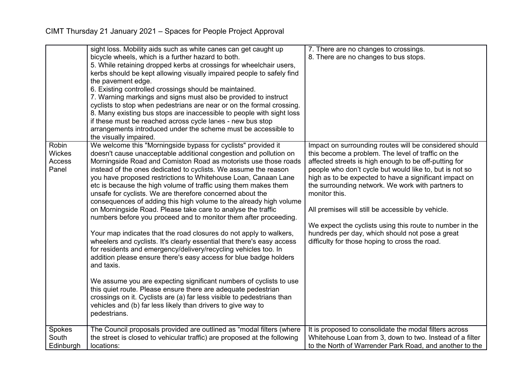|                                           | sight loss. Mobility aids such as white canes can get caught up<br>bicycle wheels, which is a further hazard to both.<br>5. While retaining dropped kerbs at crossings for wheelchair users,<br>kerbs should be kept allowing visually impaired people to safely find<br>the pavement edge.<br>6. Existing controlled crossings should be maintained.<br>7. Warning markings and signs must also be provided to instruct<br>cyclists to stop when pedestrians are near or on the formal crossing.<br>8. Many existing bus stops are inaccessible to people with sight loss<br>if these must be reached across cycle lanes - new bus stop<br>arrangements introduced under the scheme must be accessible to<br>the visually impaired.                                                                                                                                                                                                                                                                                                                                                                                                                                                                                                                                                        | 7. There are no changes to crossings.<br>8. There are no changes to bus stops.                                                                                                                                                                                                                                                                                                                                                                                                                                                                                                         |
|-------------------------------------------|---------------------------------------------------------------------------------------------------------------------------------------------------------------------------------------------------------------------------------------------------------------------------------------------------------------------------------------------------------------------------------------------------------------------------------------------------------------------------------------------------------------------------------------------------------------------------------------------------------------------------------------------------------------------------------------------------------------------------------------------------------------------------------------------------------------------------------------------------------------------------------------------------------------------------------------------------------------------------------------------------------------------------------------------------------------------------------------------------------------------------------------------------------------------------------------------------------------------------------------------------------------------------------------------|----------------------------------------------------------------------------------------------------------------------------------------------------------------------------------------------------------------------------------------------------------------------------------------------------------------------------------------------------------------------------------------------------------------------------------------------------------------------------------------------------------------------------------------------------------------------------------------|
| Robin<br><b>Wickes</b><br>Access<br>Panel | We welcome this "Morningside bypass for cyclists" provided it<br>doesn't cause unacceptable additional congestion and pollution on<br>Morningside Road and Comiston Road as motorists use those roads<br>instead of the ones dedicated to cyclists. We assume the reason<br>you have proposed restrictions to Whitehouse Loan, Canaan Lane<br>etc is because the high volume of traffic using them makes them<br>unsafe for cyclists. We are therefore concerned about the<br>consequences of adding this high volume to the already high volume<br>on Morningside Road. Please take care to analyse the traffic<br>numbers before you proceed and to monitor them after proceeding.<br>Your map indicates that the road closures do not apply to walkers,<br>wheelers and cyclists. It's clearly essential that there's easy access<br>for residents and emergency/delivery/recycling vehicles too. In<br>addition please ensure there's easy access for blue badge holders<br>and taxis.<br>We assume you are expecting significant numbers of cyclists to use<br>this quiet route. Please ensure there are adequate pedestrian<br>crossings on it. Cyclists are (a) far less visible to pedestrians than<br>vehicles and (b) far less likely than drivers to give way to<br>pedestrians. | Impact on surrounding routes will be considered should<br>this become a problem. The level of traffic on the<br>affected streets is high enough to be off-putting for<br>people who don't cycle but would like to, but is not so<br>high as to be expected to have a significant impact on<br>the surrounding network. We work with partners to<br>monitor this.<br>All premises will still be accessible by vehicle.<br>We expect the cyclists using this route to number in the<br>hundreds per day, which should not pose a great<br>difficulty for those hoping to cross the road. |
| Spokes<br>South<br>Edinburgh              | The Council proposals provided are outlined as "modal filters (where<br>the street is closed to vehicular traffic) are proposed at the following<br>locations:                                                                                                                                                                                                                                                                                                                                                                                                                                                                                                                                                                                                                                                                                                                                                                                                                                                                                                                                                                                                                                                                                                                              | It is proposed to consolidate the modal filters across<br>Whitehouse Loan from 3, down to two. Instead of a filter<br>to the North of Warrender Park Road, and another to the                                                                                                                                                                                                                                                                                                                                                                                                          |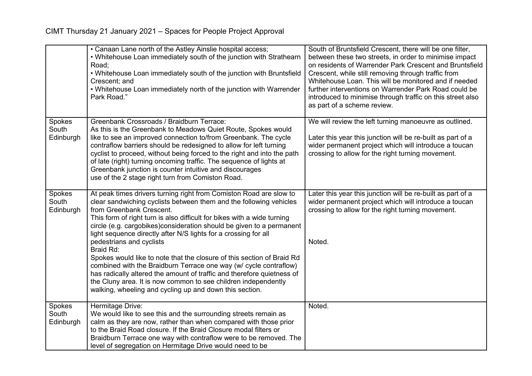|                              | • Canaan Lane north of the Astley Ainslie hospital access;<br>. Whitehouse Loan immediately south of the junction with Strathearn<br>Road;<br>. Whitehouse Loan immediately south of the junction with Bruntsfield<br>Crescent; and<br>. Whitehouse Loan immediately north of the junction with Warrender<br>Park Road."                                                                                                                                                                                                                                                                                                                                                                                                                                                                   | South of Bruntsfield Crescent, there will be one filter,<br>between these two streets, in order to minimise impact<br>on residents of Warrender Park Crescent and Bruntsfield<br>Crescent, while still removing through traffic from<br>Whitehouse Loan. This will be monitored and if needed<br>further interventions on Warrender Park Road could be<br>introduced to minimise through traffic on this street also<br>as part of a scheme review. |
|------------------------------|--------------------------------------------------------------------------------------------------------------------------------------------------------------------------------------------------------------------------------------------------------------------------------------------------------------------------------------------------------------------------------------------------------------------------------------------------------------------------------------------------------------------------------------------------------------------------------------------------------------------------------------------------------------------------------------------------------------------------------------------------------------------------------------------|-----------------------------------------------------------------------------------------------------------------------------------------------------------------------------------------------------------------------------------------------------------------------------------------------------------------------------------------------------------------------------------------------------------------------------------------------------|
| Spokes<br>South<br>Edinburgh | Greenbank Crossroads / Braidburn Terrace:<br>As this is the Greenbank to Meadows Quiet Route, Spokes would<br>like to see an improved connection to/from Greenbank. The cycle<br>contraflow barriers should be redesigned to allow for left turning<br>cyclist to proceed, without being forced to the right and into the path<br>of late (right) turning oncoming traffic. The sequence of lights at<br>Greenbank junction is counter intuitive and discourages<br>use of the 2 stage right turn from Comiston Road.                                                                                                                                                                                                                                                                      | We will review the left turning manoeuvre as outlined.<br>Later this year this junction will be re-built as part of a<br>wider permanent project which will introduce a toucan<br>crossing to allow for the right turning movement.                                                                                                                                                                                                                 |
| Spokes<br>South<br>Edinburgh | At peak times drivers turning right from Comiston Road are slow to<br>clear sandwiching cyclists between them and the following vehicles<br>from Greenbank Crescent.<br>This form of right turn is also difficult for bikes with a wide turning<br>circle (e.g. cargobikes) consideration should be given to a permanent<br>light sequence directly after N/S lights for a crossing for all<br>pedestrians and cyclists<br>Braid Rd:<br>Spokes would like to note that the closure of this section of Braid Rd<br>combined with the Braidburn Terrace one way (w/ cycle contraflow)<br>has radically altered the amount of traffic and therefore quietness of<br>the Cluny area. It is now common to see children independently<br>walking, wheeling and cycling up and down this section. | Later this year this junction will be re-built as part of a<br>wider permanent project which will introduce a toucan<br>crossing to allow for the right turning movement.<br>Noted.                                                                                                                                                                                                                                                                 |
| Spokes<br>South<br>Edinburgh | Hermitage Drive:<br>We would like to see this and the surrounding streets remain as<br>calm as they are now, rather than when compared with those prior<br>to the Braid Road closure. If the Braid Closure modal filters or<br>Braidburn Terrace one way with contraflow were to be removed. The<br>level of segregation on Hermitage Drive would need to be                                                                                                                                                                                                                                                                                                                                                                                                                               | Noted.                                                                                                                                                                                                                                                                                                                                                                                                                                              |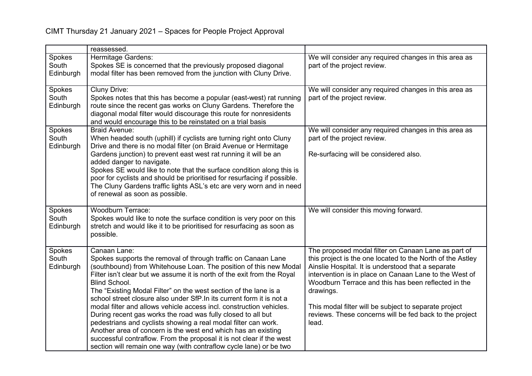|                              | reassessed.                                                                                                                                                                                                                                                                                                                                                                                                                                                                                                                                                                                                                                                                                                                                                                                                                |                                                                                                                                                                                                                                                                                                                                                                                                                                    |
|------------------------------|----------------------------------------------------------------------------------------------------------------------------------------------------------------------------------------------------------------------------------------------------------------------------------------------------------------------------------------------------------------------------------------------------------------------------------------------------------------------------------------------------------------------------------------------------------------------------------------------------------------------------------------------------------------------------------------------------------------------------------------------------------------------------------------------------------------------------|------------------------------------------------------------------------------------------------------------------------------------------------------------------------------------------------------------------------------------------------------------------------------------------------------------------------------------------------------------------------------------------------------------------------------------|
| Spokes<br>South<br>Edinburgh | Hermitage Gardens:<br>Spokes SE is concerned that the previously proposed diagonal<br>modal filter has been removed from the junction with Cluny Drive.                                                                                                                                                                                                                                                                                                                                                                                                                                                                                                                                                                                                                                                                    | We will consider any required changes in this area as<br>part of the project review.                                                                                                                                                                                                                                                                                                                                               |
| Spokes<br>South<br>Edinburgh | <b>Cluny Drive:</b><br>Spokes notes that this has become a popular (east-west) rat running<br>route since the recent gas works on Cluny Gardens. Therefore the<br>diagonal modal filter would discourage this route for nonresidents<br>and would encourage this to be reinstated on a trial basis                                                                                                                                                                                                                                                                                                                                                                                                                                                                                                                         | We will consider any required changes in this area as<br>part of the project review.                                                                                                                                                                                                                                                                                                                                               |
| Spokes<br>South<br>Edinburgh | <b>Braid Avenue:</b><br>When headed south (uphill) if cyclists are turning right onto Cluny<br>Drive and there is no modal filter (on Braid Avenue or Hermitage<br>Gardens junction) to prevent east west rat running it will be an<br>added danger to navigate.<br>Spokes SE would like to note that the surface condition along this is<br>poor for cyclists and should be prioritised for resurfacing if possible.<br>The Cluny Gardens traffic lights ASL's etc are very worn and in need<br>of renewal as soon as possible.                                                                                                                                                                                                                                                                                           | We will consider any required changes in this area as<br>part of the project review.<br>Re-surfacing will be considered also.                                                                                                                                                                                                                                                                                                      |
| Spokes<br>South<br>Edinburgh | <b>Woodburn Terrace:</b><br>Spokes would like to note the surface condition is very poor on this<br>stretch and would like it to be prioritised for resurfacing as soon as<br>possible.                                                                                                                                                                                                                                                                                                                                                                                                                                                                                                                                                                                                                                    | We will consider this moving forward.                                                                                                                                                                                                                                                                                                                                                                                              |
| Spokes<br>South<br>Edinburgh | Canaan Lane:<br>Spokes supports the removal of through traffic on Canaan Lane<br>(southbound) from Whitehouse Loan. The position of this new Modal<br>Filter isn't clear but we assume it is north of the exit from the Royal<br><b>Blind School.</b><br>The "Existing Modal Filter" on the west section of the lane is a<br>school street closure also under SfP. In its current form it is not a<br>modal filter and allows vehicle access incl. construction vehicles.<br>During recent gas works the road was fully closed to all but<br>pedestrians and cyclists showing a real modal filter can work.<br>Another area of concern is the west end which has an existing<br>successful contraflow. From the proposal it is not clear if the west<br>section will remain one way (with contraflow cycle lane) or be two | The proposed modal filter on Canaan Lane as part of<br>this project is the one located to the North of the Astley<br>Ainslie Hospital. It is understood that a separate<br>intervention is in place on Canaan Lane to the West of<br>Woodburn Terrace and this has been reflected in the<br>drawings.<br>This modal filter will be subject to separate project<br>reviews. These concerns will be fed back to the project<br>lead. |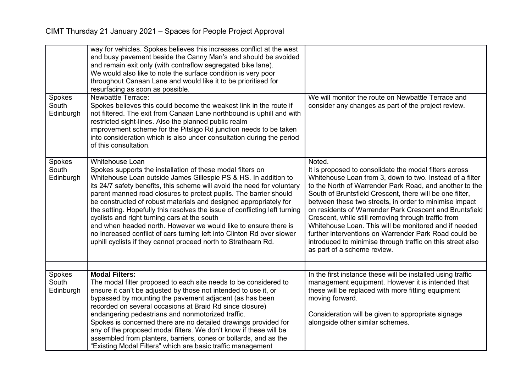| Spokes<br>South<br>Edinburgh | way for vehicles. Spokes believes this increases conflict at the west<br>end busy pavement beside the Canny Man's and should be avoided<br>and remain exit only (with contraflow segregated bike lane).<br>We would also like to note the surface condition is very poor<br>throughout Canaan Lane and would like it to be prioritised for<br>resurfacing as soon as possible.<br><b>Newbattle Terrace:</b><br>Spokes believes this could become the weakest link in the route if<br>not filtered. The exit from Canaan Lane northbound is uphill and with<br>restricted sight-lines. Also the planned public realm<br>improvement scheme for the Pitsligo Rd junction needs to be taken<br>into consideration which is also under consultation during the period<br>of this consultation. | We will monitor the route on Newbattle Terrace and<br>consider any changes as part of the project review.                                                                                                                                                                                                                                                                                                                                                                                                                                                                                                                                      |
|------------------------------|--------------------------------------------------------------------------------------------------------------------------------------------------------------------------------------------------------------------------------------------------------------------------------------------------------------------------------------------------------------------------------------------------------------------------------------------------------------------------------------------------------------------------------------------------------------------------------------------------------------------------------------------------------------------------------------------------------------------------------------------------------------------------------------------|------------------------------------------------------------------------------------------------------------------------------------------------------------------------------------------------------------------------------------------------------------------------------------------------------------------------------------------------------------------------------------------------------------------------------------------------------------------------------------------------------------------------------------------------------------------------------------------------------------------------------------------------|
| Spokes<br>South<br>Edinburgh | <b>Whitehouse Loan</b><br>Spokes supports the installation of these modal filters on<br>Whitehouse Loan outside James Gillespie PS & HS. In addition to<br>its 24/7 safety benefits, this scheme will avoid the need for voluntary<br>parent manned road closures to protect pupils. The barrier should<br>be constructed of robust materials and designed appropriately for<br>the setting. Hopefully this resolves the issue of conflicting left turning<br>cyclists and right turning cars at the south<br>end when headed north. However we would like to ensure there is<br>no increased conflict of cars turning left into Clinton Rd over slower<br>uphill cyclists if they cannot proceed north to Strathearn Rd.                                                                  | Noted.<br>It is proposed to consolidate the modal filters across<br>Whitehouse Loan from 3, down to two. Instead of a filter<br>to the North of Warrender Park Road, and another to the<br>South of Bruntsfield Crescent, there will be one filter,<br>between these two streets, in order to minimise impact<br>on residents of Warrender Park Crescent and Bruntsfield<br>Crescent, while still removing through traffic from<br>Whitehouse Loan. This will be monitored and if needed<br>further interventions on Warrender Park Road could be<br>introduced to minimise through traffic on this street also<br>as part of a scheme review. |
|                              |                                                                                                                                                                                                                                                                                                                                                                                                                                                                                                                                                                                                                                                                                                                                                                                            |                                                                                                                                                                                                                                                                                                                                                                                                                                                                                                                                                                                                                                                |
| Spokes<br>South<br>Edinburgh | <b>Modal Filters:</b><br>The modal filter proposed to each site needs to be considered to<br>ensure it can't be adjusted by those not intended to use it, or                                                                                                                                                                                                                                                                                                                                                                                                                                                                                                                                                                                                                               | In the first instance these will be installed using traffic<br>management equipment. However it is intended that<br>these will be replaced with more fitting equipment                                                                                                                                                                                                                                                                                                                                                                                                                                                                         |
|                              | bypassed by mounting the pavement adjacent (as has been<br>recorded on several occasions at Braid Rd since closure)                                                                                                                                                                                                                                                                                                                                                                                                                                                                                                                                                                                                                                                                        | moving forward.                                                                                                                                                                                                                                                                                                                                                                                                                                                                                                                                                                                                                                |
|                              | endangering pedestrians and nonmotorized traffic.                                                                                                                                                                                                                                                                                                                                                                                                                                                                                                                                                                                                                                                                                                                                          | Consideration will be given to appropriate signage                                                                                                                                                                                                                                                                                                                                                                                                                                                                                                                                                                                             |
|                              | Spokes is concerned there are no detailed drawings provided for<br>any of the proposed modal filters. We don't know if these will be                                                                                                                                                                                                                                                                                                                                                                                                                                                                                                                                                                                                                                                       | alongside other similar schemes.                                                                                                                                                                                                                                                                                                                                                                                                                                                                                                                                                                                                               |
|                              | assembled from planters, barriers, cones or bollards, and as the                                                                                                                                                                                                                                                                                                                                                                                                                                                                                                                                                                                                                                                                                                                           |                                                                                                                                                                                                                                                                                                                                                                                                                                                                                                                                                                                                                                                |
|                              | "Existing Modal Filters" which are basic traffic management                                                                                                                                                                                                                                                                                                                                                                                                                                                                                                                                                                                                                                                                                                                                |                                                                                                                                                                                                                                                                                                                                                                                                                                                                                                                                                                                                                                                |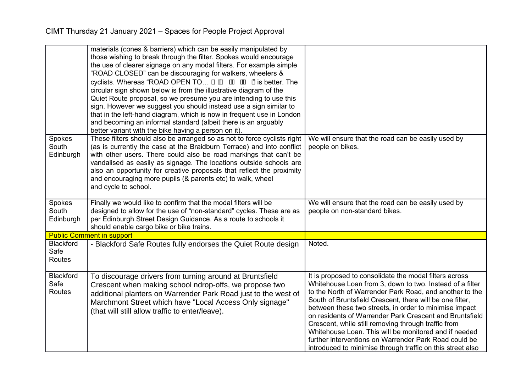|                                           | materials (cones & barriers) which can be easily manipulated by<br>those wishing to break through the filter. Spokes would encourage<br>the use of clearer signage on any modal filters. For example simple<br>"ROAD CLOSED" can be discouraging for walkers, wheelers &<br>cyclists. Whereas "ROAD OPEN TO $\square \square \square \square \square \square$ " is better. The<br>circular sign shown below is from the illustrative diagram of the<br>Quiet Route proposal, so we presume you are intending to use this<br>sign. However we suggest you should instead use a sign similar to<br>that in the left-hand diagram, which is now in frequent use in London<br>and becoming an informal standard (albeit there is an arguably<br>better variant with the bike having a person on it). |                                                                                                                                                                                                                                                                                                                                                                                                                                                                                                                                                                                                       |
|-------------------------------------------|--------------------------------------------------------------------------------------------------------------------------------------------------------------------------------------------------------------------------------------------------------------------------------------------------------------------------------------------------------------------------------------------------------------------------------------------------------------------------------------------------------------------------------------------------------------------------------------------------------------------------------------------------------------------------------------------------------------------------------------------------------------------------------------------------|-------------------------------------------------------------------------------------------------------------------------------------------------------------------------------------------------------------------------------------------------------------------------------------------------------------------------------------------------------------------------------------------------------------------------------------------------------------------------------------------------------------------------------------------------------------------------------------------------------|
| Spokes<br>South<br>Edinburgh              | These filters should also be arranged so as not to force cyclists right<br>(as is currently the case at the Braidburn Terrace) and into conflict<br>with other users. There could also be road markings that can't be<br>vandalised as easily as signage. The locations outside schools are<br>also an opportunity for creative proposals that reflect the proximity<br>and encouraging more pupils (& parents etc) to walk, wheel<br>and cycle to school.                                                                                                                                                                                                                                                                                                                                       | We will ensure that the road can be easily used by<br>people on bikes.                                                                                                                                                                                                                                                                                                                                                                                                                                                                                                                                |
| Spokes<br>South<br>Edinburgh              | Finally we would like to confirm that the modal filters will be<br>designed to allow for the use of "non-standard" cycles. These are as<br>per Edinburgh Street Design Guidance. As a route to schools it<br>should enable cargo bike or bike trains.                                                                                                                                                                                                                                                                                                                                                                                                                                                                                                                                            | We will ensure that the road can be easily used by<br>people on non-standard bikes.                                                                                                                                                                                                                                                                                                                                                                                                                                                                                                                   |
|                                           | <b>Public Comment in support</b>                                                                                                                                                                                                                                                                                                                                                                                                                                                                                                                                                                                                                                                                                                                                                                 |                                                                                                                                                                                                                                                                                                                                                                                                                                                                                                                                                                                                       |
| <b>Blackford</b><br>Safe<br><b>Routes</b> | - Blackford Safe Routes fully endorses the Quiet Route design                                                                                                                                                                                                                                                                                                                                                                                                                                                                                                                                                                                                                                                                                                                                    | Noted.                                                                                                                                                                                                                                                                                                                                                                                                                                                                                                                                                                                                |
| <b>Blackford</b><br>Safe<br>Routes        | To discourage drivers from turning around at Bruntsfield<br>Crescent when making school ndrop-offs, we propose two<br>additional planters on Warrender Park Road just to the west of<br>Marchmont Street which have "Local Access Only signage"<br>(that will still allow traffic to enter/leave).                                                                                                                                                                                                                                                                                                                                                                                                                                                                                               | It is proposed to consolidate the modal filters across<br>Whitehouse Loan from 3, down to two. Instead of a filter<br>to the North of Warrender Park Road, and another to the<br>South of Bruntsfield Crescent, there will be one filter,<br>between these two streets, in order to minimise impact<br>on residents of Warrender Park Crescent and Bruntsfield<br>Crescent, while still removing through traffic from<br>Whitehouse Loan. This will be monitored and if needed<br>further interventions on Warrender Park Road could be<br>introduced to minimise through traffic on this street also |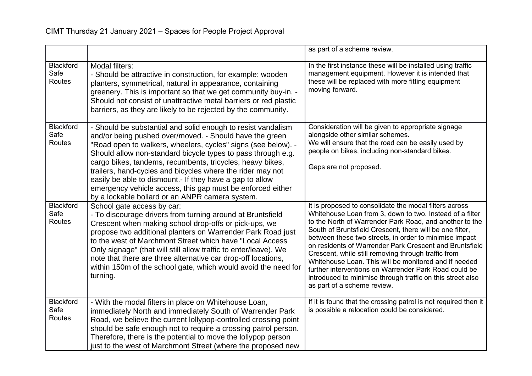|                                    |                                                                                                                                                                                                                                                                                                                                                                                                                                                                                                                                                                  | as part of a scheme review.                                                                                                                                                                                                                                                                                                                                                                                                                                                                                                                                                                                                          |
|------------------------------------|------------------------------------------------------------------------------------------------------------------------------------------------------------------------------------------------------------------------------------------------------------------------------------------------------------------------------------------------------------------------------------------------------------------------------------------------------------------------------------------------------------------------------------------------------------------|--------------------------------------------------------------------------------------------------------------------------------------------------------------------------------------------------------------------------------------------------------------------------------------------------------------------------------------------------------------------------------------------------------------------------------------------------------------------------------------------------------------------------------------------------------------------------------------------------------------------------------------|
| Blackford<br>Safe<br>Routes        | Modal filters:<br>- Should be attractive in construction, for example: wooden<br>planters, symmetrical, natural in appearance, containing<br>greenery. This is important so that we get community buy-in. -<br>Should not consist of unattractive metal barriers or red plastic<br>barriers, as they are likely to be rejected by the community.                                                                                                                                                                                                                 | In the first instance these will be installed using traffic<br>management equipment. However it is intended that<br>these will be replaced with more fitting equipment<br>moving forward.                                                                                                                                                                                                                                                                                                                                                                                                                                            |
| <b>Blackford</b><br>Safe<br>Routes | - Should be substantial and solid enough to resist vandalism<br>and/or being pushed over/moved. - Should have the green<br>"Road open to walkers, wheelers, cycles" signs (see below). -<br>Should allow non-standard bicycle types to pass through e.g.<br>cargo bikes, tandems, recumbents, tricycles, heavy bikes,<br>trailers, hand-cycles and bicycles where the rider may not<br>easily be able to dismount.- If they have a gap to allow<br>emergency vehicle access, this gap must be enforced either<br>by a lockable bollard or an ANPR camera system. | Consideration will be given to appropriate signage<br>alongside other similar schemes.<br>We will ensure that the road can be easily used by<br>people on bikes, including non-standard bikes.<br>Gaps are not proposed.                                                                                                                                                                                                                                                                                                                                                                                                             |
| <b>Blackford</b><br>Safe<br>Routes | School gate access by car:<br>- To discourage drivers from turning around at Bruntsfield<br>Crescent when making school drop-offs or pick-ups, we<br>propose two additional planters on Warrender Park Road just<br>to the west of Marchmont Street which have "Local Access"<br>Only signage" (that will still allow traffic to enter/leave). We<br>note that there are three alternative car drop-off locations,<br>within 150m of the school gate, which would avoid the need for<br>turning.                                                                 | It is proposed to consolidate the modal filters across<br>Whitehouse Loan from 3, down to two. Instead of a filter<br>to the North of Warrender Park Road, and another to the<br>South of Bruntsfield Crescent, there will be one filter,<br>between these two streets, in order to minimise impact<br>on residents of Warrender Park Crescent and Bruntsfield<br>Crescent, while still removing through traffic from<br>Whitehouse Loan. This will be monitored and if needed<br>further interventions on Warrender Park Road could be<br>introduced to minimise through traffic on this street also<br>as part of a scheme review. |
| <b>Blackford</b><br>Safe<br>Routes | - With the modal filters in place on Whitehouse Loan,<br>immediately North and immediately South of Warrender Park<br>Road, we believe the current lollypop-controlled crossing point<br>should be safe enough not to require a crossing patrol person.<br>Therefore, there is the potential to move the lollypop person<br>just to the west of Marchmont Street (where the proposed new                                                                                                                                                                         | If it is found that the crossing patrol is not required then it<br>is possible a relocation could be considered.                                                                                                                                                                                                                                                                                                                                                                                                                                                                                                                     |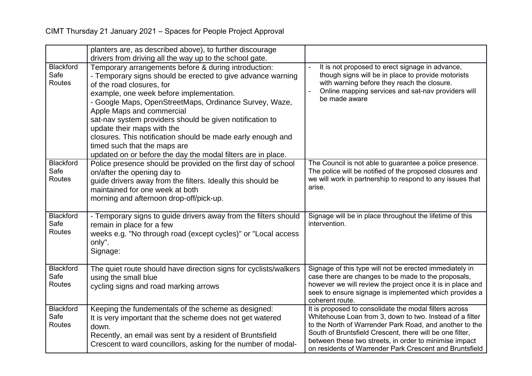|                                    | planters are, as described above), to further discourage<br>drivers from driving all the way up to the school gate.                                                                                                                                                                                                                                                                                                                                                                                                                          |                                                                                                                                                                                                                                                                                                                                                                |
|------------------------------------|----------------------------------------------------------------------------------------------------------------------------------------------------------------------------------------------------------------------------------------------------------------------------------------------------------------------------------------------------------------------------------------------------------------------------------------------------------------------------------------------------------------------------------------------|----------------------------------------------------------------------------------------------------------------------------------------------------------------------------------------------------------------------------------------------------------------------------------------------------------------------------------------------------------------|
| Blackford<br>Safe<br>Routes        | Temporary arrangements before & during introduction:<br>- Temporary signs should be erected to give advance warning<br>of the road closures, for<br>example, one week before implementation.<br>- Google Maps, OpenStreetMaps, Ordinance Survey, Waze,<br>Apple Maps and commercial<br>sat-nav system providers should be given notification to<br>update their maps with the<br>closures. This notification should be made early enough and<br>timed such that the maps are<br>updated on or before the day the modal filters are in place. | It is not proposed to erect signage in advance,<br>though signs will be in place to provide motorists<br>with warning before they reach the closure.<br>Online mapping services and sat-nav providers will<br>be made aware                                                                                                                                    |
| Blackford<br>Safe<br>Routes        | Police presence should be provided on the first day of school<br>on/after the opening day to<br>quide drivers away from the filters. Ideally this should be<br>maintained for one week at both<br>morning and afternoon drop-off/pick-up.                                                                                                                                                                                                                                                                                                    | The Council is not able to guarantee a police presence.<br>The police will be notified of the proposed closures and<br>we will work in partnership to respond to any issues that<br>arise.                                                                                                                                                                     |
| Blackford<br>Safe<br>Routes        | - Temporary signs to guide drivers away from the filters should<br>remain in place for a few<br>weeks e.g. "No through road (except cycles)" or "Local access<br>only".<br>Signage:                                                                                                                                                                                                                                                                                                                                                          | Signage will be in place throughout the lifetime of this<br>intervention.                                                                                                                                                                                                                                                                                      |
| Blackford<br>Safe<br><b>Routes</b> | The quiet route should have direction signs for cyclists/walkers<br>using the small blue<br>cycling signs and road marking arrows                                                                                                                                                                                                                                                                                                                                                                                                            | Signage of this type will not be erected immediately in<br>case there are changes to be made to the proposals,<br>however we will review the project once it is in place and<br>seek to ensure signage is implemented which provides a<br>coherent route.                                                                                                      |
| Blackford<br>Safe<br>Routes        | Keeping the fundementals of the scheme as designed:<br>It is very important that the scheme does not get watered<br>down.<br>Recently, an email was sent by a resident of Bruntsfield<br>Crescent to ward councillors, asking for the number of modal-                                                                                                                                                                                                                                                                                       | It is proposed to consolidate the modal filters across<br>Whitehouse Loan from 3, down to two. Instead of a filter<br>to the North of Warrender Park Road, and another to the<br>South of Bruntsfield Crescent, there will be one filter,<br>between these two streets, in order to minimise impact<br>on residents of Warrender Park Crescent and Bruntsfield |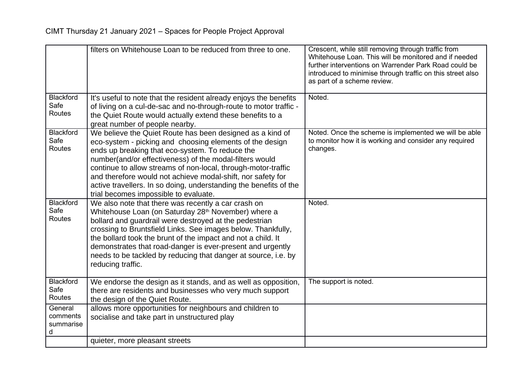|                                       | filters on Whitehouse Loan to be reduced from three to one.                                                                                                                                                                                                                                                                                                                                                                                                                       | Crescent, while still removing through traffic from<br>Whitehouse Loan. This will be monitored and if needed<br>further interventions on Warrender Park Road could be<br>introduced to minimise through traffic on this street also<br>as part of a scheme review. |
|---------------------------------------|-----------------------------------------------------------------------------------------------------------------------------------------------------------------------------------------------------------------------------------------------------------------------------------------------------------------------------------------------------------------------------------------------------------------------------------------------------------------------------------|--------------------------------------------------------------------------------------------------------------------------------------------------------------------------------------------------------------------------------------------------------------------|
| <b>Blackford</b><br>Safe<br>Routes    | It's useful to note that the resident already enjoys the benefits<br>of living on a cul-de-sac and no-through-route to motor traffic -<br>the Quiet Route would actually extend these benefits to a<br>great number of people nearby.                                                                                                                                                                                                                                             | Noted.                                                                                                                                                                                                                                                             |
| <b>Blackford</b><br>Safe<br>Routes    | We believe the Quiet Route has been designed as a kind of<br>eco-system - picking and choosing elements of the design<br>ends up breaking that eco-system. To reduce the<br>number(and/or effectiveness) of the modal-filters would<br>continue to allow streams of non-local, through-motor-traffic<br>and therefore would not achieve modal-shift, nor safety for<br>active travellers. In so doing, understanding the benefits of the<br>trial becomes impossible to evaluate. | Noted. Once the scheme is implemented we will be able<br>to monitor how it is working and consider any required<br>changes.                                                                                                                                        |
| <b>Blackford</b><br>Safe<br>Routes    | We also note that there was recently a car crash on<br>Whitehouse Loan (on Saturday 28 <sup>th</sup> November) where a<br>bollard and guardrail were destroyed at the pedestrian<br>crossing to Bruntsfield Links. See images below. Thankfully,<br>the bollard took the brunt of the impact and not a child. It<br>demonstrates that road-danger is ever-present and urgently<br>needs to be tackled by reducing that danger at source, i.e. by<br>reducing traffic.             | Noted.                                                                                                                                                                                                                                                             |
| <b>Blackford</b><br>Safe<br>Routes    | We endorse the design as it stands, and as well as opposition,<br>there are residents and businesses who very much support<br>the design of the Quiet Route.                                                                                                                                                                                                                                                                                                                      | The support is noted.                                                                                                                                                                                                                                              |
| General<br>comments<br>summarise<br>d | allows more opportunities for neighbours and children to<br>socialise and take part in unstructured play                                                                                                                                                                                                                                                                                                                                                                          |                                                                                                                                                                                                                                                                    |
|                                       | quieter, more pleasant streets                                                                                                                                                                                                                                                                                                                                                                                                                                                    |                                                                                                                                                                                                                                                                    |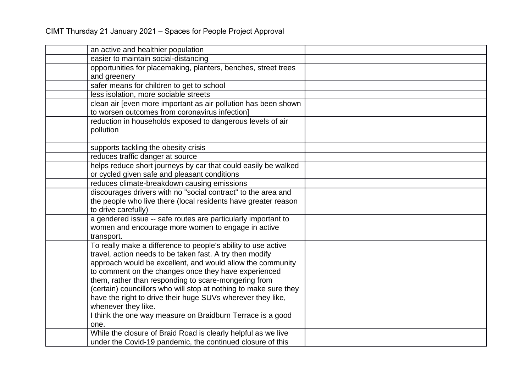| an active and healthier population                               |  |
|------------------------------------------------------------------|--|
| easier to maintain social-distancing                             |  |
| opportunities for placemaking, planters, benches, street trees   |  |
| and greenery                                                     |  |
| safer means for children to get to school                        |  |
| less isolation, more sociable streets                            |  |
| clean air [even more important as air pollution has been shown   |  |
| to worsen outcomes from coronavirus infection]                   |  |
| reduction in households exposed to dangerous levels of air       |  |
| pollution                                                        |  |
|                                                                  |  |
| supports tackling the obesity crisis                             |  |
| reduces traffic danger at source                                 |  |
| helps reduce short journeys by car that could easily be walked   |  |
| or cycled given safe and pleasant conditions                     |  |
| reduces climate-breakdown causing emissions                      |  |
| discourages drivers with no "social contract" to the area and    |  |
| the people who live there (local residents have greater reason   |  |
| to drive carefully)                                              |  |
| a gendered issue -- safe routes are particularly important to    |  |
| women and encourage more women to engage in active               |  |
| transport.                                                       |  |
| To really make a difference to people's ability to use active    |  |
| travel, action needs to be taken fast. A try then modify         |  |
| approach would be excellent, and would allow the community       |  |
| to comment on the changes once they have experienced             |  |
| them, rather than responding to scare-mongering from             |  |
| (certain) councillors who will stop at nothing to make sure they |  |
| have the right to drive their huge SUVs wherever they like,      |  |
| whenever they like.                                              |  |
| I think the one way measure on Braidburn Terrace is a good       |  |
| one.                                                             |  |
| While the closure of Braid Road is clearly helpful as we live    |  |
| under the Covid-19 pandemic, the continued closure of this       |  |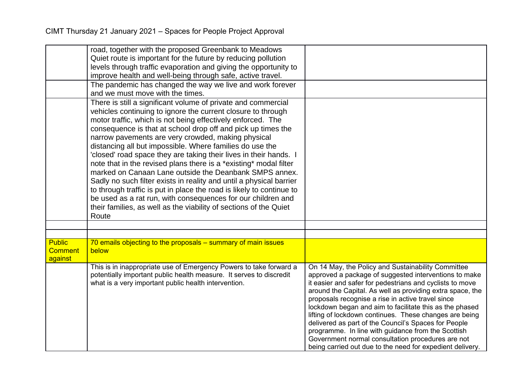|                                 | road, together with the proposed Greenbank to Meadows                  |                                                                                                         |
|---------------------------------|------------------------------------------------------------------------|---------------------------------------------------------------------------------------------------------|
|                                 | Quiet route is important for the future by reducing pollution          |                                                                                                         |
|                                 | levels through traffic evaporation and giving the opportunity to       |                                                                                                         |
|                                 | improve health and well-being through safe, active travel.             |                                                                                                         |
|                                 | The pandemic has changed the way we live and work forever              |                                                                                                         |
|                                 | and we must move with the times.                                       |                                                                                                         |
|                                 | There is still a significant volume of private and commercial          |                                                                                                         |
|                                 | vehicles continuing to ignore the current closure to through           |                                                                                                         |
|                                 | motor traffic, which is not being effectively enforced. The            |                                                                                                         |
|                                 | consequence is that at school drop off and pick up times the           |                                                                                                         |
|                                 | narrow pavements are very crowded, making physical                     |                                                                                                         |
|                                 | distancing all but impossible. Where families do use the               |                                                                                                         |
|                                 | 'closed' road space they are taking their lives in their hands. I      |                                                                                                         |
|                                 | note that in the revised plans there is a *existing* modal filter      |                                                                                                         |
|                                 | marked on Canaan Lane outside the Deanbank SMPS annex.                 |                                                                                                         |
|                                 | Sadly no such filter exists in reality and until a physical barrier    |                                                                                                         |
|                                 | to through traffic is put in place the road is likely to continue to   |                                                                                                         |
|                                 | be used as a rat run, with consequences for our children and           |                                                                                                         |
|                                 | their families, as well as the viability of sections of the Quiet      |                                                                                                         |
|                                 | Route                                                                  |                                                                                                         |
|                                 |                                                                        |                                                                                                         |
|                                 |                                                                        |                                                                                                         |
| <b>Public</b><br><b>Comment</b> | 70 emails objecting to the proposals – summary of main issues<br>below |                                                                                                         |
| against                         |                                                                        |                                                                                                         |
|                                 | This is in inappropriate use of Emergency Powers to take forward a     | On 14 May, the Policy and Sustainability Committee                                                      |
|                                 | potentially important public health measure. It serves to discredit    | approved a package of suggested interventions to make                                                   |
|                                 | what is a very important public health intervention.                   | it easier and safer for pedestrians and cyclists to move                                                |
|                                 |                                                                        | around the Capital. As well as providing extra space, the                                               |
|                                 |                                                                        | proposals recognise a rise in active travel since                                                       |
|                                 |                                                                        | lockdown began and aim to facilitate this as the phased                                                 |
|                                 |                                                                        | lifting of lockdown continues. These changes are being                                                  |
|                                 |                                                                        | delivered as part of the Council's Spaces for People                                                    |
|                                 |                                                                        | programme. In line with guidance from the Scottish<br>Government normal consultation procedures are not |
|                                 |                                                                        | being carried out due to the need for expedient delivery.                                               |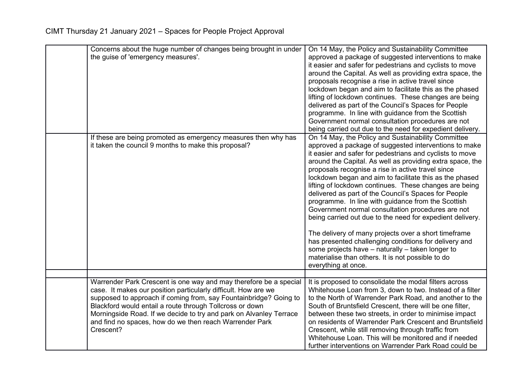| Concerns about the huge number of changes being brought in under<br>the guise of 'emergency measures'.                                                                                                                                                                                                                                                                                                             | On 14 May, the Policy and Sustainability Committee<br>approved a package of suggested interventions to make<br>it easier and safer for pedestrians and cyclists to move<br>around the Capital. As well as providing extra space, the<br>proposals recognise a rise in active travel since<br>lockdown began and aim to facilitate this as the phased<br>lifting of lockdown continues. These changes are being<br>delivered as part of the Council's Spaces for People<br>programme. In line with guidance from the Scottish<br>Government normal consultation procedures are not<br>being carried out due to the need for expedient delivery.                                                                                                                                                                                                                                                  |
|--------------------------------------------------------------------------------------------------------------------------------------------------------------------------------------------------------------------------------------------------------------------------------------------------------------------------------------------------------------------------------------------------------------------|-------------------------------------------------------------------------------------------------------------------------------------------------------------------------------------------------------------------------------------------------------------------------------------------------------------------------------------------------------------------------------------------------------------------------------------------------------------------------------------------------------------------------------------------------------------------------------------------------------------------------------------------------------------------------------------------------------------------------------------------------------------------------------------------------------------------------------------------------------------------------------------------------|
| If these are being promoted as emergency measures then why has<br>it taken the council 9 months to make this proposal?                                                                                                                                                                                                                                                                                             | On 14 May, the Policy and Sustainability Committee<br>approved a package of suggested interventions to make<br>it easier and safer for pedestrians and cyclists to move<br>around the Capital. As well as providing extra space, the<br>proposals recognise a rise in active travel since<br>lockdown began and aim to facilitate this as the phased<br>lifting of lockdown continues. These changes are being<br>delivered as part of the Council's Spaces for People<br>programme. In line with guidance from the Scottish<br>Government normal consultation procedures are not<br>being carried out due to the need for expedient delivery.<br>The delivery of many projects over a short timeframe<br>has presented challenging conditions for delivery and<br>some projects have - naturally - taken longer to<br>materialise than others. It is not possible to do<br>everything at once. |
|                                                                                                                                                                                                                                                                                                                                                                                                                    |                                                                                                                                                                                                                                                                                                                                                                                                                                                                                                                                                                                                                                                                                                                                                                                                                                                                                                 |
| Warrender Park Crescent is one way and may therefore be a special<br>case. It makes our position particularly difficult. How are we<br>supposed to approach if coming from, say Fountainbridge? Going to<br>Blackford would entail a route through Tollcross or down<br>Morningside Road. If we decide to try and park on Alvanley Terrace<br>and find no spaces, how do we then reach Warrender Park<br>Crescent? | It is proposed to consolidate the modal filters across<br>Whitehouse Loan from 3, down to two. Instead of a filter<br>to the North of Warrender Park Road, and another to the<br>South of Bruntsfield Crescent, there will be one filter,<br>between these two streets, in order to minimise impact<br>on residents of Warrender Park Crescent and Bruntsfield<br>Crescent, while still removing through traffic from<br>Whitehouse Loan. This will be monitored and if needed<br>further interventions on Warrender Park Road could be                                                                                                                                                                                                                                                                                                                                                         |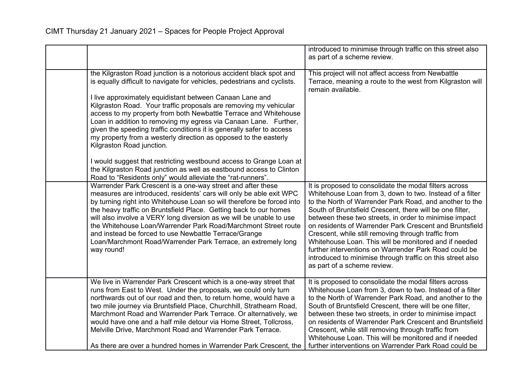|                                                                                                                                                                                                                                                                                                                                                                                                                                                                                                                                                                                                                                                                                                                                                                                                                 | introduced to minimise through traffic on this street also<br>as part of a scheme review.                                                                                                                                                                                                                                                                                                                                                                                                                                                                                                                                            |
|-----------------------------------------------------------------------------------------------------------------------------------------------------------------------------------------------------------------------------------------------------------------------------------------------------------------------------------------------------------------------------------------------------------------------------------------------------------------------------------------------------------------------------------------------------------------------------------------------------------------------------------------------------------------------------------------------------------------------------------------------------------------------------------------------------------------|--------------------------------------------------------------------------------------------------------------------------------------------------------------------------------------------------------------------------------------------------------------------------------------------------------------------------------------------------------------------------------------------------------------------------------------------------------------------------------------------------------------------------------------------------------------------------------------------------------------------------------------|
| the Kilgraston Road junction is a notorious accident black spot and<br>is equally difficult to navigate for vehicles, pedestrians and cyclists.<br>I live approximately equidistant between Canaan Lane and<br>Kilgraston Road. Your traffic proposals are removing my vehicular<br>access to my property from both Newbattle Terrace and Whitehouse<br>Loan in addition to removing my egress via Canaan Lane. Further,<br>given the speeding traffic conditions it is generally safer to access<br>my property from a westerly direction as opposed to the easterly<br>Kilgraston Road junction.<br>I would suggest that restricting westbound access to Grange Loan at<br>the Kilgraston Road junction as well as eastbound access to Clinton<br>Road to "Residents only" would alleviate the "rat-runners". | This project will not affect access from Newbattle<br>Terrace, meaning a route to the west from Kilgraston will<br>remain available.                                                                                                                                                                                                                                                                                                                                                                                                                                                                                                 |
| Warrender Park Crescent is a one-way street and after these<br>measures are introduced, residents' cars will only be able exit WPC<br>by turning right into Whitehouse Loan so will therefore be forced into<br>the heavy traffic on Bruntsfield Place. Getting back to our homes<br>will also involve a VERY long diversion as we will be unable to use<br>the Whitehouse Loan/Warrender Park Road/Marchmont Street route<br>and instead be forced to use Newbattle Terrace/Grange<br>Loan/Marchmont Road/Warrender Park Terrace, an extremely long<br>way round!                                                                                                                                                                                                                                              | It is proposed to consolidate the modal filters across<br>Whitehouse Loan from 3, down to two. Instead of a filter<br>to the North of Warrender Park Road, and another to the<br>South of Bruntsfield Crescent, there will be one filter,<br>between these two streets, in order to minimise impact<br>on residents of Warrender Park Crescent and Bruntsfield<br>Crescent, while still removing through traffic from<br>Whitehouse Loan. This will be monitored and if needed<br>further interventions on Warrender Park Road could be<br>introduced to minimise through traffic on this street also<br>as part of a scheme review. |
| We live in Warrender Park Crescent which is a one-way street that<br>runs from East to West. Under the proposals, we could only turn<br>northwards out of our road and then, to return home, would have a<br>two mile journey via Bruntsfield Place, Churchhill, Strathearn Road,<br>Marchmont Road and Warrender Park Terrace. Or alternatively, we<br>would have one and a half mile detour via Home Street, Tollcross,<br>Melville Drive, Marchmont Road and Warrender Park Terrace.<br>As there are over a hundred homes in Warrender Park Crescent, the                                                                                                                                                                                                                                                    | It is proposed to consolidate the modal filters across<br>Whitehouse Loan from 3, down to two. Instead of a filter<br>to the North of Warrender Park Road, and another to the<br>South of Bruntsfield Crescent, there will be one filter,<br>between these two streets, in order to minimise impact<br>on residents of Warrender Park Crescent and Bruntsfield<br>Crescent, while still removing through traffic from<br>Whitehouse Loan. This will be monitored and if needed<br>further interventions on Warrender Park Road could be                                                                                              |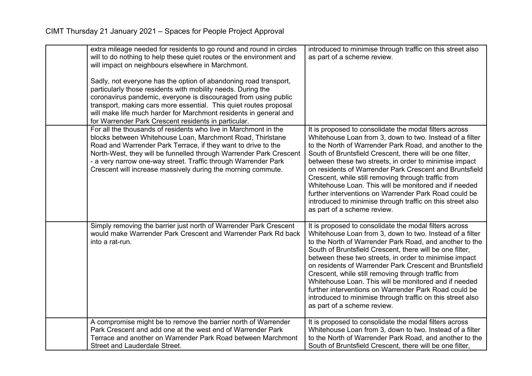| extra mileage needed for residents to go round and round in circles<br>will to do nothing to help these quiet routes or the environment and<br>will impact on neighbours elsewhere in Marchmont.<br>Sadly, not everyone has the option of abandoning road transport,<br>particularly those residents with mobility needs. During the<br>coronavirus pandemic, everyone is discouraged from using public<br>transport, making cars more essential. This quiet routes proposal<br>will make life much harder for Marchmont residents in general and<br>for Warrender Park Crescent residents in particular. | introduced to minimise through traffic on this street also<br>as part of a scheme review.                                                                                                                                                                                                                                                                                                                                                                                                                                                                                                                                            |
|-----------------------------------------------------------------------------------------------------------------------------------------------------------------------------------------------------------------------------------------------------------------------------------------------------------------------------------------------------------------------------------------------------------------------------------------------------------------------------------------------------------------------------------------------------------------------------------------------------------|--------------------------------------------------------------------------------------------------------------------------------------------------------------------------------------------------------------------------------------------------------------------------------------------------------------------------------------------------------------------------------------------------------------------------------------------------------------------------------------------------------------------------------------------------------------------------------------------------------------------------------------|
| For all the thousands of residents who live in Marchmont in the<br>blocks between Whitehouse Loan, Marchmont Road, Thirlstane<br>Road and Warrender Park Terrace, if they want to drive to the<br>North-West, they will be funnelled through Warrender Park Crescent<br>- a very narrow one-way street. Traffic through Warrender Park<br>Crescent will increase massively during the morning commute.                                                                                                                                                                                                    | It is proposed to consolidate the modal filters across<br>Whitehouse Loan from 3, down to two. Instead of a filter<br>to the North of Warrender Park Road, and another to the<br>South of Bruntsfield Crescent, there will be one filter,<br>between these two streets, in order to minimise impact<br>on residents of Warrender Park Crescent and Bruntsfield<br>Crescent, while still removing through traffic from<br>Whitehouse Loan. This will be monitored and if needed<br>further interventions on Warrender Park Road could be<br>introduced to minimise through traffic on this street also<br>as part of a scheme review. |
| Simply removing the barrier just north of Warrender Park Crescent<br>would make Warrender Park Crescent and Warrender Park Rd back<br>into a rat-run.                                                                                                                                                                                                                                                                                                                                                                                                                                                     | It is proposed to consolidate the modal filters across<br>Whitehouse Loan from 3, down to two. Instead of a filter<br>to the North of Warrender Park Road, and another to the<br>South of Bruntsfield Crescent, there will be one filter,<br>between these two streets, in order to minimise impact<br>on residents of Warrender Park Crescent and Bruntsfield<br>Crescent, while still removing through traffic from<br>Whitehouse Loan. This will be monitored and if needed<br>further interventions on Warrender Park Road could be<br>introduced to minimise through traffic on this street also<br>as part of a scheme review. |
| A compromise might be to remove the barrier north of Warrender<br>Park Crescent and add one at the west end of Warrender Park<br>Terrace and another on Warrender Park Road between Marchmont<br>Street and Lauderdale Street.                                                                                                                                                                                                                                                                                                                                                                            | It is proposed to consolidate the modal filters across<br>Whitehouse Loan from 3, down to two. Instead of a filter<br>to the North of Warrender Park Road, and another to the<br>South of Bruntsfield Crescent, there will be one filter,                                                                                                                                                                                                                                                                                                                                                                                            |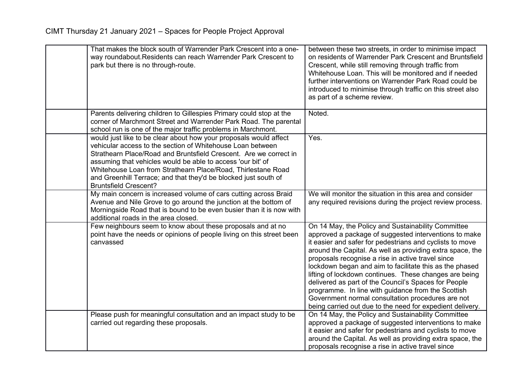| That makes the block south of Warrender Park Crescent into a one-<br>way roundabout. Residents can reach Warrender Park Crescent to<br>park but there is no through-route.                                                                                                                                                                                                                                                             | between these two streets, in order to minimise impact<br>on residents of Warrender Park Crescent and Bruntsfield<br>Crescent, while still removing through traffic from<br>Whitehouse Loan. This will be monitored and if needed<br>further interventions on Warrender Park Road could be<br>introduced to minimise through traffic on this street also<br>as part of a scheme review.                                                                                                                                                                                                                                                        |
|----------------------------------------------------------------------------------------------------------------------------------------------------------------------------------------------------------------------------------------------------------------------------------------------------------------------------------------------------------------------------------------------------------------------------------------|------------------------------------------------------------------------------------------------------------------------------------------------------------------------------------------------------------------------------------------------------------------------------------------------------------------------------------------------------------------------------------------------------------------------------------------------------------------------------------------------------------------------------------------------------------------------------------------------------------------------------------------------|
| Parents delivering children to Gillespies Primary could stop at the<br>corner of Marchmont Street and Warrender Park Road. The parental<br>school run is one of the major traffic problems in Marchmont.                                                                                                                                                                                                                               | Noted.                                                                                                                                                                                                                                                                                                                                                                                                                                                                                                                                                                                                                                         |
| would just like to be clear about how your proposals would affect<br>vehicular access to the section of Whitehouse Loan between<br>Strathearn Place/Road and Bruntsfield Crescent. Are we correct in<br>assuming that vehicles would be able to access 'our bit' of<br>Whitehouse Loan from Strathearn Place/Road, Thirlestane Road<br>and Greenhill Terrace; and that they'd be blocked just south of<br><b>Bruntsfield Crescent?</b> | Yes.                                                                                                                                                                                                                                                                                                                                                                                                                                                                                                                                                                                                                                           |
| My main concern is increased volume of cars cutting across Braid<br>Avenue and Nile Grove to go around the junction at the bottom of<br>Morningside Road that is bound to be even busier than it is now with<br>additional roads in the area closed.                                                                                                                                                                                   | We will monitor the situation in this area and consider<br>any required revisions during the project review process.                                                                                                                                                                                                                                                                                                                                                                                                                                                                                                                           |
| Few neighbours seem to know about these proposals and at no<br>point have the needs or opinions of people living on this street been<br>canvassed                                                                                                                                                                                                                                                                                      | On 14 May, the Policy and Sustainability Committee<br>approved a package of suggested interventions to make<br>it easier and safer for pedestrians and cyclists to move<br>around the Capital. As well as providing extra space, the<br>proposals recognise a rise in active travel since<br>lockdown began and aim to facilitate this as the phased<br>lifting of lockdown continues. These changes are being<br>delivered as part of the Council's Spaces for People<br>programme. In line with guidance from the Scottish<br>Government normal consultation procedures are not<br>being carried out due to the need for expedient delivery. |
| Please push for meaningful consultation and an impact study to be<br>carried out regarding these proposals.                                                                                                                                                                                                                                                                                                                            | On 14 May, the Policy and Sustainability Committee<br>approved a package of suggested interventions to make<br>it easier and safer for pedestrians and cyclists to move<br>around the Capital. As well as providing extra space, the<br>proposals recognise a rise in active travel since                                                                                                                                                                                                                                                                                                                                                      |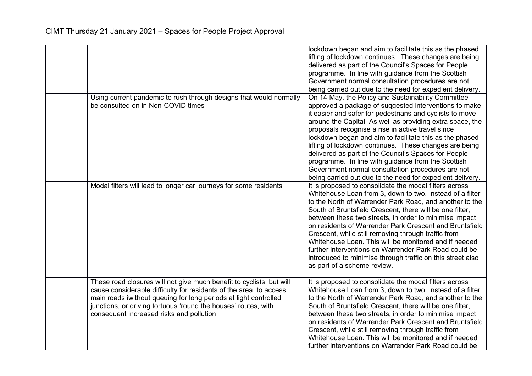|                                                                                                                                                                                                                                                                                                                              | lockdown began and aim to facilitate this as the phased<br>lifting of lockdown continues. These changes are being<br>delivered as part of the Council's Spaces for People<br>programme. In line with guidance from the Scottish<br>Government normal consultation procedures are not<br>being carried out due to the need for expedient delivery.                                                                                                                                                                                                                                                                                              |
|------------------------------------------------------------------------------------------------------------------------------------------------------------------------------------------------------------------------------------------------------------------------------------------------------------------------------|------------------------------------------------------------------------------------------------------------------------------------------------------------------------------------------------------------------------------------------------------------------------------------------------------------------------------------------------------------------------------------------------------------------------------------------------------------------------------------------------------------------------------------------------------------------------------------------------------------------------------------------------|
| Using current pandemic to rush through designs that would normally<br>be consulted on in Non-COVID times                                                                                                                                                                                                                     | On 14 May, the Policy and Sustainability Committee<br>approved a package of suggested interventions to make<br>it easier and safer for pedestrians and cyclists to move<br>around the Capital. As well as providing extra space, the<br>proposals recognise a rise in active travel since<br>lockdown began and aim to facilitate this as the phased<br>lifting of lockdown continues. These changes are being<br>delivered as part of the Council's Spaces for People<br>programme. In line with guidance from the Scottish<br>Government normal consultation procedures are not<br>being carried out due to the need for expedient delivery. |
| Modal filters will lead to longer car journeys for some residents                                                                                                                                                                                                                                                            | It is proposed to consolidate the modal filters across<br>Whitehouse Loan from 3, down to two. Instead of a filter<br>to the North of Warrender Park Road, and another to the<br>South of Bruntsfield Crescent, there will be one filter,<br>between these two streets, in order to minimise impact<br>on residents of Warrender Park Crescent and Bruntsfield<br>Crescent, while still removing through traffic from<br>Whitehouse Loan. This will be monitored and if needed<br>further interventions on Warrender Park Road could be<br>introduced to minimise through traffic on this street also<br>as part of a scheme review.           |
| These road closures will not give much benefit to cyclists, but will<br>cause considerable difficulty for residents of the area, to access<br>main roads iwithout queuing for long periods at light controlled<br>junctions, or driving tortuous 'round the houses' routes, with<br>consequent increased risks and pollution | It is proposed to consolidate the modal filters across<br>Whitehouse Loan from 3, down to two. Instead of a filter<br>to the North of Warrender Park Road, and another to the<br>South of Bruntsfield Crescent, there will be one filter,<br>between these two streets, in order to minimise impact<br>on residents of Warrender Park Crescent and Bruntsfield<br>Crescent, while still removing through traffic from<br>Whitehouse Loan. This will be monitored and if needed<br>further interventions on Warrender Park Road could be                                                                                                        |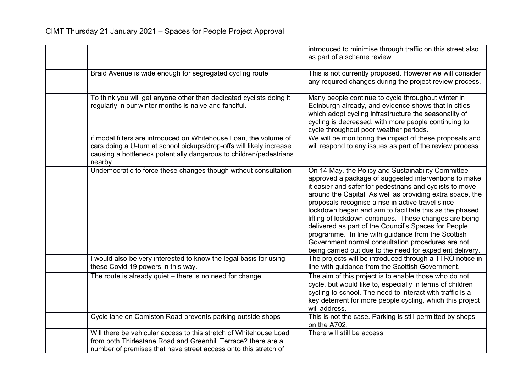|                                                                                                                                                                                                                           | introduced to minimise through traffic on this street also<br>as part of a scheme review.                                                                                                                                                                                                                                                                                                                                                                                                                                                                                                                                                      |
|---------------------------------------------------------------------------------------------------------------------------------------------------------------------------------------------------------------------------|------------------------------------------------------------------------------------------------------------------------------------------------------------------------------------------------------------------------------------------------------------------------------------------------------------------------------------------------------------------------------------------------------------------------------------------------------------------------------------------------------------------------------------------------------------------------------------------------------------------------------------------------|
| Braid Avenue is wide enough for segregated cycling route                                                                                                                                                                  | This is not currently proposed. However we will consider<br>any required changes during the project review process.                                                                                                                                                                                                                                                                                                                                                                                                                                                                                                                            |
| To think you will get anyone other than dedicated cyclists doing it<br>regularly in our winter months is naive and fanciful.                                                                                              | Many people continue to cycle throughout winter in<br>Edinburgh already, and evidence shows that in cities<br>which adopt cycling infrastructure the seasonality of<br>cycling is decreased, with more people continuing to<br>cycle throughout poor weather periods.                                                                                                                                                                                                                                                                                                                                                                          |
| if modal filters are introduced on Whitehouse Loan, the volume of<br>cars doing a U-turn at school pickups/drop-offs will likely increase<br>causing a bottleneck potentially dangerous to children/pedestrians<br>nearby | We will be monitoring the impact of these proposals and<br>will respond to any issues as part of the review process.                                                                                                                                                                                                                                                                                                                                                                                                                                                                                                                           |
| Undemocratic to force these changes though without consultation                                                                                                                                                           | On 14 May, the Policy and Sustainability Committee<br>approved a package of suggested interventions to make<br>it easier and safer for pedestrians and cyclists to move<br>around the Capital. As well as providing extra space, the<br>proposals recognise a rise in active travel since<br>lockdown began and aim to facilitate this as the phased<br>lifting of lockdown continues. These changes are being<br>delivered as part of the Council's Spaces for People<br>programme. In line with guidance from the Scottish<br>Government normal consultation procedures are not<br>being carried out due to the need for expedient delivery. |
| I would also be very interested to know the legal basis for using<br>these Covid 19 powers in this way.                                                                                                                   | The projects will be introduced through a TTRO notice in<br>line with guidance from the Scottish Government.                                                                                                                                                                                                                                                                                                                                                                                                                                                                                                                                   |
| The route is already quiet - there is no need for change                                                                                                                                                                  | The aim of this project is to enable those who do not<br>cycle, but would like to, especially in terms of children<br>cycling to school. The need to interact with traffic is a<br>key deterrent for more people cycling, which this project<br>will address.                                                                                                                                                                                                                                                                                                                                                                                  |
| Cycle lane on Comiston Road prevents parking outside shops                                                                                                                                                                | This is not the case. Parking is still permitted by shops<br>on the A702.                                                                                                                                                                                                                                                                                                                                                                                                                                                                                                                                                                      |
| Will there be vehicular access to this stretch of Whitehouse Load<br>from both Thirlestane Road and Greenhill Terrace? there are a<br>number of premises that have street access onto this stretch of                     | There will still be access.                                                                                                                                                                                                                                                                                                                                                                                                                                                                                                                                                                                                                    |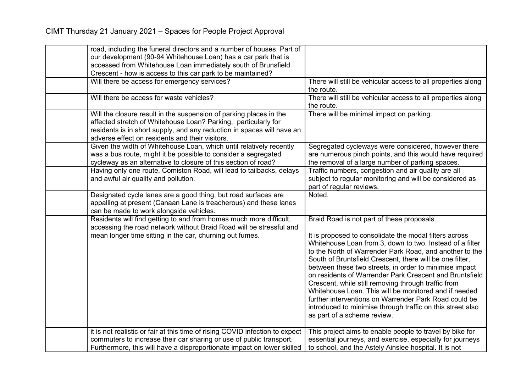| road, including the funeral directors and a number of houses. Part of                                                                                                                                                                                             |                                                                                                                                                                                                                                                                                                                                                                                                                                                                                                                                                                                                                                      |
|-------------------------------------------------------------------------------------------------------------------------------------------------------------------------------------------------------------------------------------------------------------------|--------------------------------------------------------------------------------------------------------------------------------------------------------------------------------------------------------------------------------------------------------------------------------------------------------------------------------------------------------------------------------------------------------------------------------------------------------------------------------------------------------------------------------------------------------------------------------------------------------------------------------------|
| our development (90-94 Whitehouse Loan) has a car park that is                                                                                                                                                                                                    |                                                                                                                                                                                                                                                                                                                                                                                                                                                                                                                                                                                                                                      |
| accessed from Whitehouse Loan immediately south of Brunsfield<br>Crescent - how is access to this car park to be maintained?                                                                                                                                      |                                                                                                                                                                                                                                                                                                                                                                                                                                                                                                                                                                                                                                      |
| Will there be access for emergency services?                                                                                                                                                                                                                      | There will still be vehicular access to all properties along                                                                                                                                                                                                                                                                                                                                                                                                                                                                                                                                                                         |
|                                                                                                                                                                                                                                                                   | the route.                                                                                                                                                                                                                                                                                                                                                                                                                                                                                                                                                                                                                           |
| Will there be access for waste vehicles?                                                                                                                                                                                                                          | There will still be vehicular access to all properties along<br>the route.                                                                                                                                                                                                                                                                                                                                                                                                                                                                                                                                                           |
| Will the closure result in the suspension of parking places in the<br>affected stretch of Whitehouse Loan? Parking, particularly for<br>residents is in short supply, and any reduction in spaces will have an<br>adverse effect on residents and their visitors. | There will be minimal impact on parking.                                                                                                                                                                                                                                                                                                                                                                                                                                                                                                                                                                                             |
| Given the width of Whitehouse Loan, which until relatively recently<br>was a bus route, might it be possible to consider a segregated<br>cycleway as an alternative to closure of this section of road?                                                           | Segregated cycleways were considered, however there<br>are numerous pinch points, and this would have required<br>the removal of a large number of parking spaces.                                                                                                                                                                                                                                                                                                                                                                                                                                                                   |
| Having only one route, Comiston Road, will lead to tailbacks, delays<br>and awful air quality and pollution.                                                                                                                                                      | Traffic numbers, congestion and air quality are all<br>subject to regular monitoring and will be considered as<br>part of regular reviews.                                                                                                                                                                                                                                                                                                                                                                                                                                                                                           |
| Designated cycle lanes are a good thing, but road surfaces are<br>appalling at present (Canaan Lane is treacherous) and these lanes<br>can be made to work alongside vehicles.                                                                                    | Noted.                                                                                                                                                                                                                                                                                                                                                                                                                                                                                                                                                                                                                               |
| Residents will find getting to and from homes much more difficult,<br>accessing the road network without Braid Road will be stressful and                                                                                                                         | Braid Road is not part of these proposals.                                                                                                                                                                                                                                                                                                                                                                                                                                                                                                                                                                                           |
| mean longer time sitting in the car, churning out fumes.                                                                                                                                                                                                          | It is proposed to consolidate the modal filters across<br>Whitehouse Loan from 3, down to two. Instead of a filter<br>to the North of Warrender Park Road, and another to the<br>South of Bruntsfield Crescent, there will be one filter,<br>between these two streets, in order to minimise impact<br>on residents of Warrender Park Crescent and Bruntsfield<br>Crescent, while still removing through traffic from<br>Whitehouse Loan. This will be monitored and if needed<br>further interventions on Warrender Park Road could be<br>introduced to minimise through traffic on this street also<br>as part of a scheme review. |
| it is not realistic or fair at this time of rising COVID infection to expect<br>commuters to increase their car sharing or use of public transport.<br>Furthermore, this will have a disproportionate impact on lower skilled                                     | This project aims to enable people to travel by bike for<br>essential journeys, and exercise, especially for journeys<br>to school, and the Astely Ainslee hospital. It is not                                                                                                                                                                                                                                                                                                                                                                                                                                                       |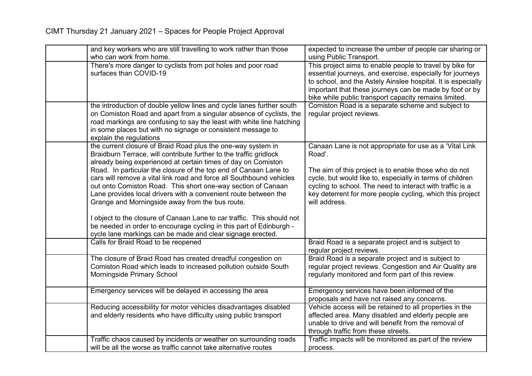| and key workers who are still travelling to work rather than those     | expected to increase the umber of people car sharing or      |
|------------------------------------------------------------------------|--------------------------------------------------------------|
| who can work from home.                                                | using Public Transport.                                      |
| There's more danger to cyclists from pot holes and poor road           | This project aims to enable people to travel by bike for     |
| surfaces than COVID-19                                                 | essential journeys, and exercise, especially for journeys    |
|                                                                        | to school, and the Astely Ainslee hospital. It is especially |
|                                                                        | important that these journeys can be made by foot or by      |
|                                                                        | bike while public transport capacity remains limited.        |
| the introduction of double yellow lines and cycle lanes further south  | Comiston Road is a separate scheme and subject to            |
| on Comiston Road and apart from a singular absence of cyclists, the    | regular project reviews.                                     |
| road markings are confusing to say the least with white line hatching  |                                                              |
| in some places but with no signage or consistent message to            |                                                              |
| explain the regulations                                                |                                                              |
| the current closure of Braid Road plus the one-way system in           | Canaan Lane is not appropriate for use as a 'Vital Link      |
| Braidburn Terrace, will contribute further to the traffic gridlock     | Road'.                                                       |
| already being experienced at certain times of day on Comiston          |                                                              |
| Road. In particular the closure of the top end of Canaan Lane to       | The aim of this project is to enable those who do not        |
| cars will remove a vital link road and force all Southbound vehicles   | cycle, but would like to, especially in terms of children    |
| out onto Comiston Road. This short one-way section of Canaan           | cycling to school. The need to interact with traffic is a    |
| Lane provides local drivers with a convenient route between the        | key deterrent for more people cycling, which this project    |
| Grange and Morningside away from the bus route.                        | will address.                                                |
| I object to the closure of Canaan Lane to car traffic. This should not |                                                              |
| be needed in order to encourage cycling in this part of Edinburgh -    |                                                              |
| cycle lane markings can be made and clear signage erected.             |                                                              |
| Calls for Braid Road to be reopened                                    | Braid Road is a separate project and is subject to           |
|                                                                        | regular project reviews.                                     |
| The closure of Braid Road has created dreadful congestion on           | Braid Road is a separate project and is subject to           |
| Comiston Road which leads to increased pollution outside South         | regular project reviews. Congestion and Air Quality are      |
| Morningside Primary School                                             | regularly monitored and form part of this review.            |
|                                                                        |                                                              |
| Emergency services will be delayed in accessing the area               | Emergency services have been informed of the                 |
|                                                                        | proposals and have not raised any concerns.                  |
| Reducing accessibility for motor vehicles disadvantages disabled       | Vehicle access will be retained to all properties in the     |
| and elderly residents who have difficulty using public transport       | affected area. Many disabled and elderly people are          |
|                                                                        | unable to drive and will benefit from the removal of         |
|                                                                        | through traffic from these streets.                          |
| Traffic chaos caused by incidents or weather on surrounding roads      | Traffic impacts will be monitored as part of the review      |
| will be all the worse as traffic cannot take alternative routes        | process.                                                     |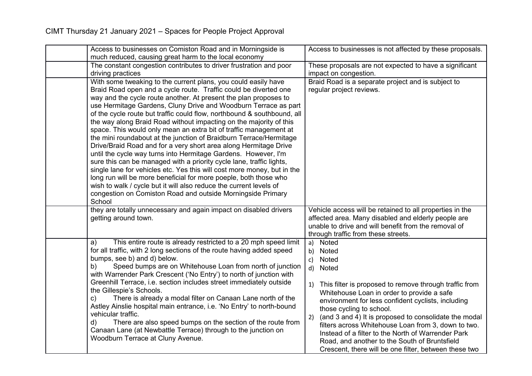| Access to businesses on Comiston Road and in Morningside is                                                                                                                                                                                                                                                                                                                                                                                                                                                                                                                                                                                                                                                                                                                                                                                                                                                                                                                                                                                                                       | Access to businesses is not affected by these proposals.                                                                                                                                                                                                                                                                                                                                                                                                                                                                                                |
|-----------------------------------------------------------------------------------------------------------------------------------------------------------------------------------------------------------------------------------------------------------------------------------------------------------------------------------------------------------------------------------------------------------------------------------------------------------------------------------------------------------------------------------------------------------------------------------------------------------------------------------------------------------------------------------------------------------------------------------------------------------------------------------------------------------------------------------------------------------------------------------------------------------------------------------------------------------------------------------------------------------------------------------------------------------------------------------|---------------------------------------------------------------------------------------------------------------------------------------------------------------------------------------------------------------------------------------------------------------------------------------------------------------------------------------------------------------------------------------------------------------------------------------------------------------------------------------------------------------------------------------------------------|
| much reduced, causing great harm to the local economy                                                                                                                                                                                                                                                                                                                                                                                                                                                                                                                                                                                                                                                                                                                                                                                                                                                                                                                                                                                                                             |                                                                                                                                                                                                                                                                                                                                                                                                                                                                                                                                                         |
| The constant congestion contributes to driver frustration and poor                                                                                                                                                                                                                                                                                                                                                                                                                                                                                                                                                                                                                                                                                                                                                                                                                                                                                                                                                                                                                | These proposals are not expected to have a significant                                                                                                                                                                                                                                                                                                                                                                                                                                                                                                  |
| driving practices                                                                                                                                                                                                                                                                                                                                                                                                                                                                                                                                                                                                                                                                                                                                                                                                                                                                                                                                                                                                                                                                 | impact on congestion.                                                                                                                                                                                                                                                                                                                                                                                                                                                                                                                                   |
| With some tweaking to the current plans, you could easily have<br>Braid Road open and a cycle route. Traffic could be diverted one<br>way and the cycle route another. At present the plan proposes to<br>use Hermitage Gardens, Cluny Drive and Woodburn Terrace as part<br>of the cycle route but traffic could flow, northbound & southbound, all<br>the way along Braid Road without impacting on the majority of this<br>space. This would only mean an extra bit of traffic management at<br>the mini roundabout at the junction of Braidburn Terrace/Hermitage<br>Drive/Braid Road and for a very short area along Hermitage Drive<br>until the cycle way turns into Hermitage Gardens. However, I'm<br>sure this can be managed with a priority cycle lane, traffic lights,<br>single lane for vehicles etc. Yes this will cost more money, but in the<br>long run will be more beneficial for more poeple, both those who<br>wish to walk / cycle but it will also reduce the current levels of<br>congestion on Comiston Road and outside Morningside Primary<br>School | Braid Road is a separate project and is subject to<br>regular project reviews.                                                                                                                                                                                                                                                                                                                                                                                                                                                                          |
| they are totally unnecessary and again impact on disabled drivers<br>getting around town.                                                                                                                                                                                                                                                                                                                                                                                                                                                                                                                                                                                                                                                                                                                                                                                                                                                                                                                                                                                         | Vehicle access will be retained to all properties in the<br>affected area. Many disabled and elderly people are<br>unable to drive and will benefit from the removal of<br>through traffic from these streets.                                                                                                                                                                                                                                                                                                                                          |
| This entire route is already restricted to a 20 mph speed limit<br>a)<br>for all traffic, with 2 long sections of the route having added speed<br>bumps, see b) and d) below.<br>Speed bumps are on Whitehouse Loan from north of junction<br>b)<br>with Warrender Park Crescent ('No Entry') to north of junction with<br>Greenhill Terrace, i.e. section includes street immediately outside<br>the Gillespie's Schools.<br>There is already a modal filter on Canaan Lane north of the<br>C)<br>Astley Ainslie hospital main entrance, i.e. 'No Entry' to north-bound<br>vehicular traffic.<br>There are also speed bumps on the section of the route from<br>d)<br>Canaan Lane (at Newbattle Terrace) through to the junction on<br>Woodburn Terrace at Cluny Avenue.                                                                                                                                                                                                                                                                                                         | Noted<br>a)<br>Noted<br>b)<br>Noted<br>$\mathsf{c}$ )<br>d) Noted<br>This filter is proposed to remove through traffic from<br>1)<br>Whitehouse Loan in order to provide a safe<br>environment for less confident cyclists, including<br>those cycling to school.<br>(and 3 and 4) It is proposed to consolidate the modal<br>2)<br>filters across Whitehouse Loan from 3, down to two.<br>Instead of a filter to the North of Warrender Park<br>Road, and another to the South of Bruntsfield<br>Crescent, there will be one filter, between these two |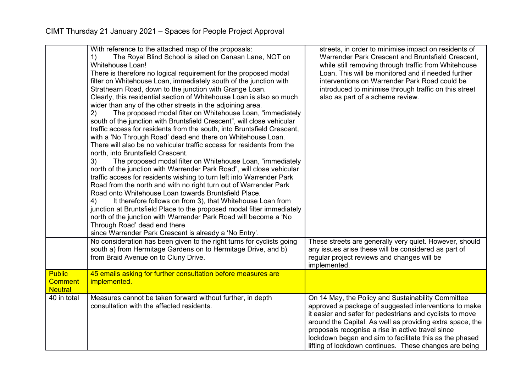|                                  | With reference to the attached map of the proposals:<br>The Royal Blind School is sited on Canaan Lane, NOT on<br>1)<br><b>Whitehouse Loan!</b><br>There is therefore no logical requirement for the proposed modal<br>filter on Whitehouse Loan, immediately south of the junction with<br>Strathearn Road, down to the junction with Grange Loan.<br>Clearly, this residential section of Whitehouse Loan is also so much<br>wider than any of the other streets in the adjoining area.<br>2)<br>The proposed modal filter on Whitehouse Loan, "immediately<br>south of the junction with Bruntsfield Crescent", will close vehicular<br>traffic access for residents from the south, into Bruntsfield Crescent,<br>with a 'No Through Road' dead end there on Whitehouse Loan.<br>There will also be no vehicular traffic access for residents from the<br>north, into Bruntsfield Crescent.<br>The proposed modal filter on Whitehouse Loan, "immediately<br>3)<br>north of the junction with Warrender Park Road", will close vehicular<br>traffic access for residents wishing to turn left into Warrender Park<br>Road from the north and with no right turn out of Warrender Park<br>Road onto Whitehouse Loan towards Bruntsfield Place.<br>It therefore follows on from 3), that Whitehouse Loan from<br>4)<br>junction at Bruntsfield Place to the proposed modal filter immediately<br>north of the junction with Warrender Park Road will become a 'No<br>Through Road' dead end there<br>since Warrender Park Crescent is already a 'No Entry'. | streets, in order to minimise impact on residents of<br>Warrender Park Crescent and Bruntsfield Crescent,<br>while still removing through traffic from Whitehouse<br>Loan. This will be monitored and if needed further<br>interventions on Warrender Park Road could be<br>introduced to minimise through traffic on this street<br>also as part of a scheme review.                                          |
|----------------------------------|---------------------------------------------------------------------------------------------------------------------------------------------------------------------------------------------------------------------------------------------------------------------------------------------------------------------------------------------------------------------------------------------------------------------------------------------------------------------------------------------------------------------------------------------------------------------------------------------------------------------------------------------------------------------------------------------------------------------------------------------------------------------------------------------------------------------------------------------------------------------------------------------------------------------------------------------------------------------------------------------------------------------------------------------------------------------------------------------------------------------------------------------------------------------------------------------------------------------------------------------------------------------------------------------------------------------------------------------------------------------------------------------------------------------------------------------------------------------------------------------------------------------------------------------------------------|----------------------------------------------------------------------------------------------------------------------------------------------------------------------------------------------------------------------------------------------------------------------------------------------------------------------------------------------------------------------------------------------------------------|
|                                  | No consideration has been given to the right turns for cyclists going<br>south a) from Hermitage Gardens on to Hermitage Drive, and b)<br>from Braid Avenue on to Cluny Drive.                                                                                                                                                                                                                                                                                                                                                                                                                                                                                                                                                                                                                                                                                                                                                                                                                                                                                                                                                                                                                                                                                                                                                                                                                                                                                                                                                                                | These streets are generally very quiet. However, should<br>any issues arise these will be considered as part of<br>regular project reviews and changes will be<br>implemented.                                                                                                                                                                                                                                 |
| <b>Public</b>                    | 45 emails asking for further consultation before measures are                                                                                                                                                                                                                                                                                                                                                                                                                                                                                                                                                                                                                                                                                                                                                                                                                                                                                                                                                                                                                                                                                                                                                                                                                                                                                                                                                                                                                                                                                                 |                                                                                                                                                                                                                                                                                                                                                                                                                |
| <b>Comment</b><br><b>Neutral</b> | implemented.                                                                                                                                                                                                                                                                                                                                                                                                                                                                                                                                                                                                                                                                                                                                                                                                                                                                                                                                                                                                                                                                                                                                                                                                                                                                                                                                                                                                                                                                                                                                                  |                                                                                                                                                                                                                                                                                                                                                                                                                |
| 40 in total                      | Measures cannot be taken forward without further, in depth<br>consultation with the affected residents.                                                                                                                                                                                                                                                                                                                                                                                                                                                                                                                                                                                                                                                                                                                                                                                                                                                                                                                                                                                                                                                                                                                                                                                                                                                                                                                                                                                                                                                       | On 14 May, the Policy and Sustainability Committee<br>approved a package of suggested interventions to make<br>it easier and safer for pedestrians and cyclists to move<br>around the Capital. As well as providing extra space, the<br>proposals recognise a rise in active travel since<br>lockdown began and aim to facilitate this as the phased<br>lifting of lockdown continues. These changes are being |